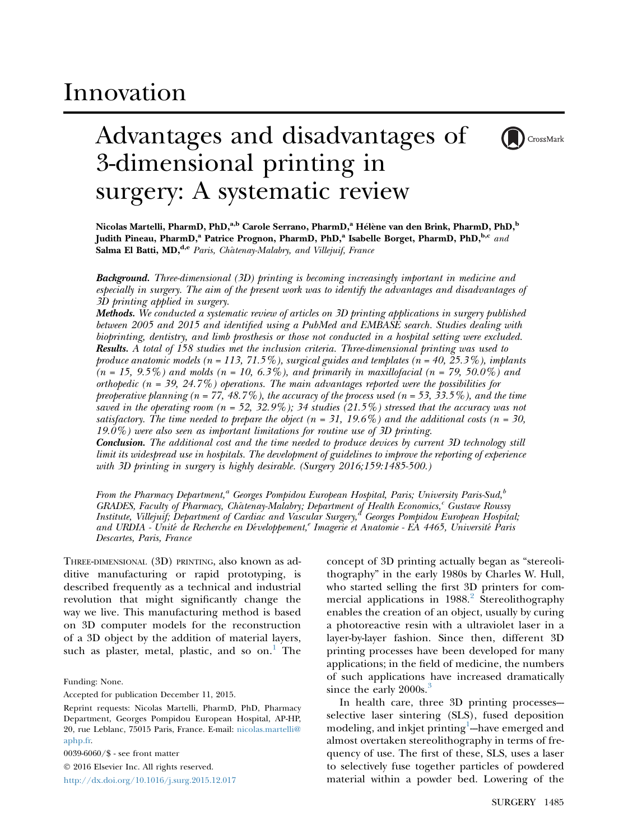# Innovation

# Advantages and disadvantages of 3-dimensional printing in surgery: A systematic review



Nicolas Martelli, PharmD, PhD,<sup>a,b</sup> Carole Serrano, PharmD,<sup>a</sup> Hélène van den Brink, PharmD, PhD,<sup>b</sup> Judith Pineau, PharmD,<sup>a</sup> Patrice Prognon, PharmD, PhD,<sup>a</sup> Isabelle Borget, PharmD, PhD,<sup>b,c</sup> and Salma El Batti, MD,<sup>d,e</sup> Paris, Châtenay-Malabry, and Villejuif, France

**Background.** Three-dimensional (3D) printing is becoming increasingly important in medicine and especially in surgery. The aim of the present work was to identify the advantages and disadvantages of 3D printing applied in surgery.

Methods. We conducted a systematic review of articles on 3D printing applications in surgery published between 2005 and 2015 and identified using a PubMed and EMBASE search. Studies dealing with bioprinting, dentistry, and limb prosthesis or those not conducted in a hospital setting were excluded. Results. A total of 158 studies met the inclusion criteria. Three-dimensional printing was used to produce anatomic models ( $n = 113, 71.5\%$ ), surgical guides and templates ( $n = 40, 25.3\%$ ), implants  $(n = 15, 9.5\%)$  and molds  $(n = 10, 6.3\%)$ , and primarily in maxillofacial  $(n = 79, 50.0\%)$  and orthopedic ( $n = 39, 24.7\%$ ) operations. The main advantages reported were the possibilities for preoperative planning  $(n = 77, 48.7\%)$ , the accuracy of the process used  $(n = 53, 33.5\%)$ , and the time saved in the operating room (n = 52, 32.9%); 34 studies (21.5%) stressed that the accuracy was not satisfactory. The time needed to prepare the object ( $n = 31, 19.6\%$ ) and the additional costs ( $n = 30$ , 19.0%) were also seen as important limitations for routine use of 3D printing.

Conclusion. The additional cost and the time needed to produce devices by current 3D technology still limit its widespread use in hospitals. The development of guidelines to improve the reporting of experience with 3D printing in surgery is highly desirable. (Surgery 2016;159:1485-500.)

From the Pharmacy Department,<sup>a</sup> Georges Pompidou European Hospital, Paris; University Paris-Sud,<sup>b</sup> GRADES, Faculty of Pharmacy, Châtenay-Malabry; Department of Health Economics,<sup>c</sup> Gustave Roussy Institute, Villejuif; Department of Cardiac and Vascular Surgery, $^d$  Georges Pompidou European Hospital; and URDIA - Unité de Recherche en Développement,<sup>e</sup> Imagerie et Anatomie - EA 4465, Université Paris Descartes, Paris, France

THREE-DIMENSIONAL (3D) PRINTING, also known as additive manufacturing or rapid prototyping, is described frequently as a technical and industrial revolution that might significantly change the way we live. This manufacturing method is based on 3D computer models for the reconstruction of a 3D object by the addition of material layers, such as plaster, metal, plastic, and so on.<sup>[1](#page-10-0)</sup> The

Funding: None.

Accepted for publication December 11, 2015.

0039-6060/\$ - see front matter

 2016 Elsevier Inc. All rights reserved. <http://dx.doi.org/10.1016/j.surg.2015.12.017> concept of 3D printing actually began as "stereolithography" in the early 1980s by Charles W. Hull, who started selling the first 3D printers for commercial applications in  $1988<sup>2</sup>$  $1988<sup>2</sup>$  $1988<sup>2</sup>$  Stereolithography enables the creation of an object, usually by curing a photoreactive resin with a ultraviolet laser in a layer-by-layer fashion. Since then, different 3D printing processes have been developed for many applications; in the field of medicine, the numbers of such applications have increased dramatically since the early 2000s.<sup>[3](#page-10-0)</sup>

In health care, three 3D printing processes selective laser sintering (SLS), fused deposition modeling, and inkjet printing $^{\rm l}$ —have emerged and almost overtaken stereolithography in terms of frequency of use. The first of these, SLS, uses a laser to selectively fuse together particles of powdered material within a powder bed. Lowering of the

Reprint requests: Nicolas Martelli, PharmD, PhD, Pharmacy Department, Georges Pompidou European Hospital, AP-HP, 20, rue Leblanc, 75015 Paris, France. E-mail: [nicolas.martelli@](mailto:nicolas.martelli@aphp.fr) [aphp.fr.](mailto:nicolas.martelli@aphp.fr)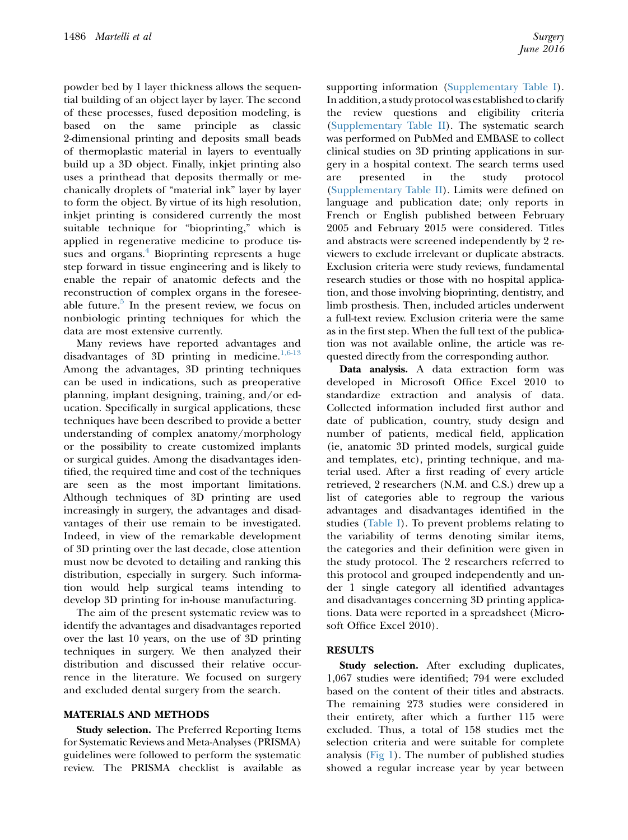powder bed by 1 layer thickness allows the sequential building of an object layer by layer. The second of these processes, fused deposition modeling, is based on the same principle as classic 2-dimensional printing and deposits small beads of thermoplastic material in layers to eventually build up a 3D object. Finally, inkjet printing also uses a printhead that deposits thermally or mechanically droplets of "material ink" layer by layer to form the object. By virtue of its high resolution, inkjet printing is considered currently the most suitable technique for "bioprinting," which is applied in regenerative medicine to produce tissues and organs. $4$  Bioprinting represents a huge step forward in tissue engineering and is likely to enable the repair of anatomic defects and the reconstruction of complex organs in the foresee-able future.<sup>[5](#page-10-0)</sup> In the present review, we focus on nonbiologic printing techniques for which the data are most extensive currently.

Many reviews have reported advantages and disadvantages of 3D printing in medicine.<sup>[1,6-13](#page-10-0)</sup> Among the advantages, 3D printing techniques can be used in indications, such as preoperative planning, implant designing, training, and/or education. Specifically in surgical applications, these techniques have been described to provide a better understanding of complex anatomy/morphology or the possibility to create customized implants or surgical guides. Among the disadvantages identified, the required time and cost of the techniques are seen as the most important limitations. Although techniques of 3D printing are used increasingly in surgery, the advantages and disadvantages of their use remain to be investigated. Indeed, in view of the remarkable development of 3D printing over the last decade, close attention must now be devoted to detailing and ranking this distribution, especially in surgery. Such information would help surgical teams intending to develop 3D printing for in-house manufacturing.

The aim of the present systematic review was to identify the advantages and disadvantages reported over the last 10 years, on the use of 3D printing techniques in surgery. We then analyzed their distribution and discussed their relative occurrence in the literature. We focused on surgery and excluded dental surgery from the search.

## MATERIALS AND METHODS

Study selection. The Preferred Reporting Items for Systematic Reviews and Meta-Analyses (PRISMA) guidelines were followed to perform the systematic review. The PRISMA checklist is available as supporting information (Supplementary Table I). In addition, a study protocol was established to clarify the review questions and eligibility criteria (Supplementary Table II). The systematic search was performed on PubMed and EMBASE to collect clinical studies on 3D printing applications in surgery in a hospital context. The search terms used are presented in the study protocol (Supplementary Table II). Limits were defined on language and publication date; only reports in French or English published between February 2005 and February 2015 were considered. Titles and abstracts were screened independently by 2 reviewers to exclude irrelevant or duplicate abstracts. Exclusion criteria were study reviews, fundamental research studies or those with no hospital application, and those involving bioprinting, dentistry, and limb prosthesis. Then, included articles underwent a full-text review. Exclusion criteria were the same as in the first step. When the full text of the publication was not available online, the article was requested directly from the corresponding author.

Data analysis. A data extraction form was developed in Microsoft Office Excel 2010 to standardize extraction and analysis of data. Collected information included first author and date of publication, country, study design and number of patients, medical field, application (ie, anatomic 3D printed models, surgical guide and templates, etc), printing technique, and material used. After a first reading of every article retrieved, 2 researchers (N.M. and C.S.) drew up a list of categories able to regroup the various advantages and disadvantages identified in the studies [\(Table I](#page-2-0)). To prevent problems relating to the variability of terms denoting similar items, the categories and their definition were given in the study protocol. The 2 researchers referred to this protocol and grouped independently and under 1 single category all identified advantages and disadvantages concerning 3D printing applications. Data were reported in a spreadsheet (Microsoft Office Excel 2010).

## RESULTS

Study selection. After excluding duplicates, 1,067 studies were identified; 794 were excluded based on the content of their titles and abstracts. The remaining 273 studies were considered in their entirety, after which a further 115 were excluded. Thus, a total of 158 studies met the selection criteria and were suitable for complete analysis (Fig  $1$ ). The number of published studies showed a regular increase year by year between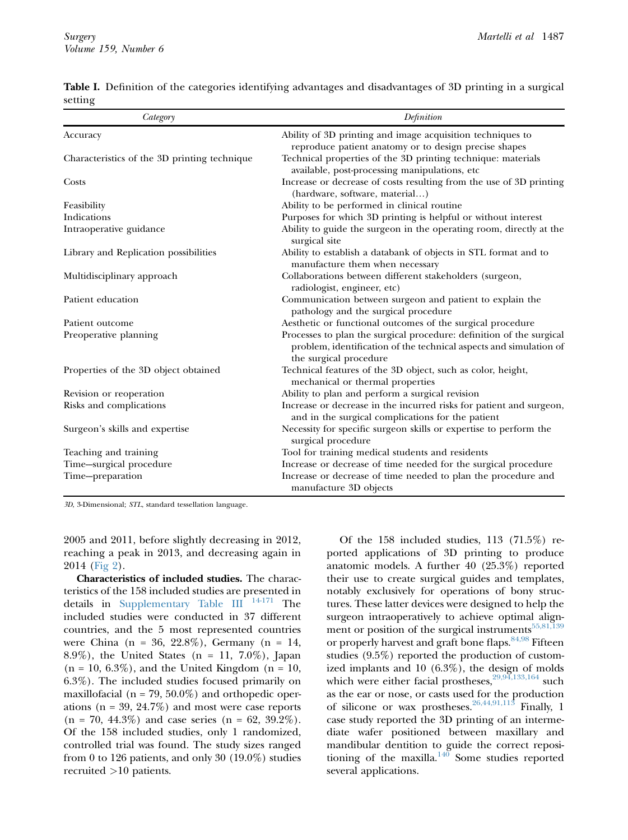| Category                                     | Definition                                                                                                                                                           |
|----------------------------------------------|----------------------------------------------------------------------------------------------------------------------------------------------------------------------|
| Accuracy                                     | Ability of 3D printing and image acquisition techniques to<br>reproduce patient anatomy or to design precise shapes                                                  |
| Characteristics of the 3D printing technique | Technical properties of the 3D printing technique: materials<br>available, post-processing manipulations, etc                                                        |
| Costs                                        | Increase or decrease of costs resulting from the use of 3D printing<br>(hardware, software, material)                                                                |
| Feasibility                                  | Ability to be performed in clinical routine                                                                                                                          |
| Indications                                  | Purposes for which 3D printing is helpful or without interest                                                                                                        |
| Intraoperative guidance                      | Ability to guide the surgeon in the operating room, directly at the<br>surgical site                                                                                 |
| Library and Replication possibilities        | Ability to establish a databank of objects in STL format and to<br>manufacture them when necessary                                                                   |
| Multidisciplinary approach                   | Collaborations between different stakeholders (surgeon,<br>radiologist, engineer, etc)                                                                               |
| Patient education                            | Communication between surgeon and patient to explain the<br>pathology and the surgical procedure                                                                     |
| Patient outcome                              | Aesthetic or functional outcomes of the surgical procedure                                                                                                           |
| Preoperative planning                        | Processes to plan the surgical procedure: definition of the surgical<br>problem, identification of the technical aspects and simulation of<br>the surgical procedure |
| Properties of the 3D object obtained         | Technical features of the 3D object, such as color, height,<br>mechanical or thermal properties                                                                      |
| Revision or reoperation                      | Ability to plan and perform a surgical revision                                                                                                                      |
| Risks and complications                      | Increase or decrease in the incurred risks for patient and surgeon,<br>and in the surgical complications for the patient                                             |
| Surgeon's skills and expertise               | Necessity for specific surgeon skills or expertise to perform the<br>surgical procedure                                                                              |
| Teaching and training                        | Tool for training medical students and residents                                                                                                                     |
| Time-surgical procedure                      | Increase or decrease of time needed for the surgical procedure                                                                                                       |
| Time-preparation                             | Increase or decrease of time needed to plan the procedure and<br>manufacture 3D objects                                                                              |

<span id="page-2-0"></span>Table I. Definition of the categories identifying advantages and disadvantages of 3D printing in a surgical setting

3D, 3-Dimensional; STL, standard tessellation language.

2005 and 2011, before slightly decreasing in 2012, reaching a peak in 2013, and decreasing again in 2014 ([Fig 2\)](#page-4-0).

Characteristics of included studies. The characteristics of the 158 included studies are presented in details in Supplementary Table III<sup>[14-171](#page-10-0)</sup> The included studies were conducted in 37 different countries, and the 5 most represented countries were China (n = 36, 22.8%), Germany (n = 14, 8.9%), the United States (n = 11, 7.0%), Japan  $(n = 10, 6.3\%)$ , and the United Kingdom  $(n = 10,$ 6.3%). The included studies focused primarily on maxillofacial ( $n = 79, 50.0\%$ ) and orthopedic operations  $(n = 39, 24.7\%)$  and most were case reports  $(n = 70, 44.3\%)$  and case series  $(n = 62, 39.2\%).$ Of the 158 included studies, only 1 randomized, controlled trial was found. The study sizes ranged from 0 to 126 patients, and only 30 (19.0%) studies recruited >10 patients.

Of the 158 included studies, 113 (71.5%) reported applications of 3D printing to produce anatomic models. A further 40 (25.3%) reported their use to create surgical guides and templates, notably exclusively for operations of bony structures. These latter devices were designed to help the surgeon intraoperatively to achieve optimal alignment or position of the surgical instruments $55,81,139$ or properly harvest and graft bone flaps.<sup>84,98</sup> Fifteen studies (9.5%) reported the production of customized implants and 10 (6.3%), the design of molds which were either facial prostheses,  $29,94,133,164$  such as the ear or nose, or casts used for the production of silicone or wax prostheses.  $26,44,91,113$  Finally, 1 case study reported the 3D printing of an intermediate wafer positioned between maxillary and mandibular dentition to guide the correct repositioning of the maxilla. $140$  Some studies reported several applications.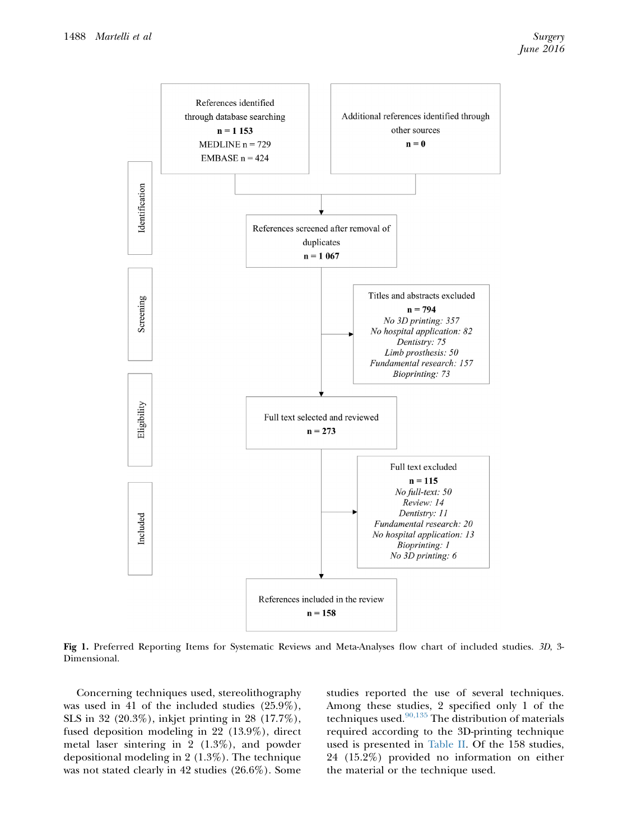<span id="page-3-0"></span>

Fig 1. Preferred Reporting Items for Systematic Reviews and Meta-Analyses flow chart of included studies. 3D, 3- Dimensional.

Concerning techniques used, stereolithography was used in 41 of the included studies (25.9%), SLS in 32 (20.3%), inkjet printing in 28 (17.7%), fused deposition modeling in 22 (13.9%), direct metal laser sintering in 2 (1.3%), and powder depositional modeling in 2 (1.3%). The technique was not stated clearly in 42 studies (26.6%). Some studies reported the use of several techniques. Among these studies, 2 specified only 1 of the techniques used. $90,135$  The distribution of materials required according to the 3D-printing technique used is presented in [Table II.](#page-5-0) Of the 158 studies, 24 (15.2%) provided no information on either the material or the technique used.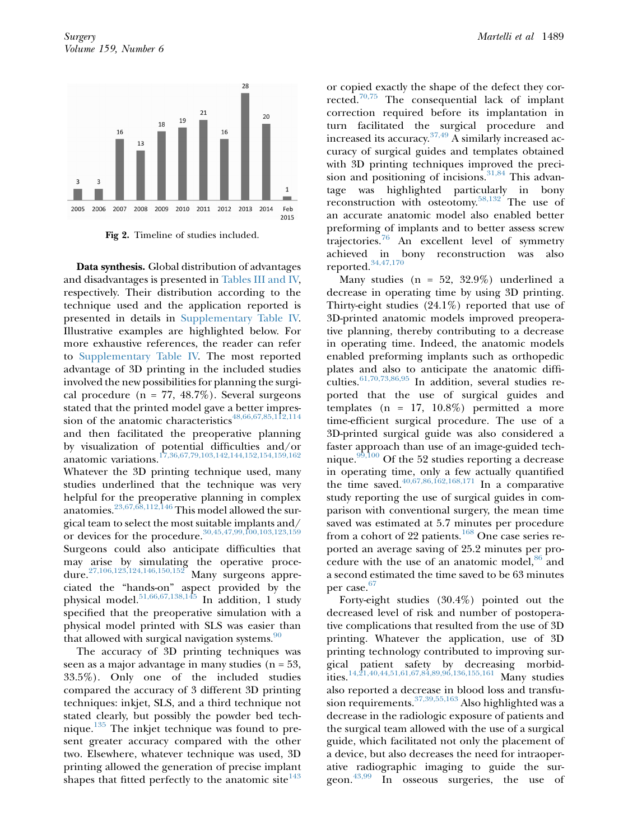<span id="page-4-0"></span>

Fig 2. Timeline of studies included.

Data synthesis. Global distribution of advantages and disadvantages is presented in [Tables III and IV,](#page-6-0) respectively. Their distribution according to the technique used and the application reported is presented in details in Supplementary Table IV. Illustrative examples are highlighted below. For more exhaustive references, the reader can refer to Supplementary Table IV. The most reported advantage of 3D printing in the included studies involved the new possibilities for planning the surgical procedure ( $n = 77, 48.7\%$ ). Several surgeons stated that the printed model gave a better impression of the anatomic characteristics $48,66,67,85,112,114$ and then facilitated the preoperative planning by visualization of potential difficulties and/or anatomic variations.<sup>[17,36,67,79,103,142,144,152,154,159,162](#page-10-0)</sup> Whatever the 3D printing technique used, many studies underlined that the technique was very helpful for the preoperative planning in complex anatomies. $^{23,67,68,112,\overline{1}46}$  This model allowed the surgical team to select the most suitable implants and/ or devices for the procedure.<sup>[30,45,47,99,100,103,123,159](#page-10-0)</sup> Surgeons could also anticipate difficulties that may arise by simulating the operative proce-dure.<sup>[27,106,123,124,146,150,152](#page-10-0)</sup> Many surgeons appreciated the "hands-on" aspect provided by the physical model. $51,66,67,138,145$  In addition, 1 study specified that the preoperative simulation with a physical model printed with SLS was easier than that allowed with surgical navigation systems.<sup>[90](#page-12-0)</sup>

The accuracy of 3D printing techniques was seen as a major advantage in many studies  $(n = 53)$ , 33.5%). Only one of the included studies compared the accuracy of 3 different 3D printing techniques: inkjet, SLS, and a third technique not stated clearly, but possibly the powder bed technique. $135$  The inkjet technique was found to present greater accuracy compared with the other two. Elsewhere, whatever technique was used, 3D printing allowed the generation of precise implant shapes that fitted perfectly to the anatomic site  $143$ 

or copied exactly the shape of the defect they corrected.[70,75](#page-12-0) The consequential lack of implant correction required before its implantation in turn facilitated the surgical procedure and increased its accuracy.  $37,49$  A similarly increased accuracy of surgical guides and templates obtained with 3D printing techniques improved the precision and positioning of incisions. $31,84$  This advantage was highlighted particularly in bony reconstruction with osteotomy.[58,132](#page-11-0) The use of an accurate anatomic model also enabled better preforming of implants and to better assess screw trajectories.[76](#page-12-0) An excellent level of symmetry achieved in bony reconstruction was also reported.[34,47,170](#page-11-0)

Many studies ( $n = 52, 32.9\%$ ) underlined a decrease in operating time by using 3D printing. Thirty-eight studies (24.1%) reported that use of 3D-printed anatomic models improved preoperative planning, thereby contributing to a decrease in operating time. Indeed, the anatomic models enabled preforming implants such as orthopedic plates and also to anticipate the anatomic difficulties. $61,70,73,86,95$  In addition, several studies reported that the use of surgical guides and templates ( $n = 17, 10.8\%$ ) permitted a more time-efficient surgical procedure. The use of a 3D-printed surgical guide was also considered a faster approach than use of an image-guided tech-nique.<sup>[99,100](#page-13-0)</sup> Of the 52 studies reporting a decrease in operating time, only a few actually quantified the time saved.<sup>[40,67,86,162,168,171](#page-11-0)</sup> In a comparative study reporting the use of surgical guides in comparison with conventional surgery, the mean time saved was estimated at 5.7 minutes per procedure from a cohort of 22 patients.<sup>[168](#page-15-0)</sup> One case series reported an average saving of 25.2 minutes per pro-cedure with the use of an anatomic model,<sup>[86](#page-12-0)</sup> and a second estimated the time saved to be 63 minutes per case.<sup>67</sup>

Forty-eight studies (30.4%) pointed out the decreased level of risk and number of postoperative complications that resulted from the use of 3D printing. Whatever the application, use of 3D printing technology contributed to improving surgical patient safety by decreasing morbidities.[14,21,40,44,51,61,67,84,89,96,136,155,161](#page-10-0) Many studies also reported a decrease in blood loss and transfusion requirements. $^{37,39,55,163}$  Also highlighted was a decrease in the radiologic exposure of patients and the surgical team allowed with the use of a surgical guide, which facilitated not only the placement of a device, but also decreases the need for intraoperative radiographic imaging to guide the surgeon.[43,99](#page-11-0) In osseous surgeries, the use of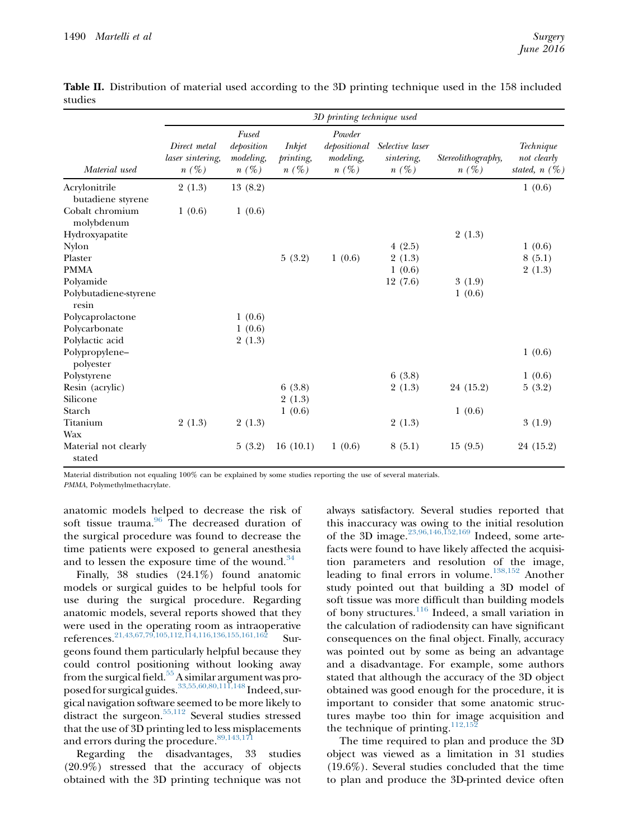|                                                    | 3D printing technique used                  |                                             |                                |                                                |                                          |                               |                                             |  |
|----------------------------------------------------|---------------------------------------------|---------------------------------------------|--------------------------------|------------------------------------------------|------------------------------------------|-------------------------------|---------------------------------------------|--|
| Material used                                      | Direct metal<br>laser sintering,<br>$n(\%)$ | Fused<br>deposition<br>modeling,<br>$n(\%)$ | Inkjet<br>printing,<br>$n(\%)$ | Powder<br>depositional<br>modeling,<br>$n(\%)$ | Selective laser<br>sintering,<br>$n(\%)$ | Stereolithography,<br>$n(\%)$ | Technique<br>not clearly<br>stated, $n(\%)$ |  |
| Acrylonitrile                                      | 2(1.3)                                      | 13(8.2)                                     |                                |                                                |                                          |                               | 1(0.6)                                      |  |
| butadiene styrene<br>Cobalt chromium<br>molybdenum | 1(0.6)                                      | 1(0.6)                                      |                                |                                                |                                          |                               |                                             |  |
| Hydroxyapatite                                     |                                             |                                             |                                |                                                |                                          | 2(1.3)                        |                                             |  |
| <b>Nylon</b>                                       |                                             |                                             |                                |                                                | 4(2.5)                                   |                               | 1(0.6)                                      |  |
| Plaster                                            |                                             |                                             | 5(3.2)                         | 1(0.6)                                         | 2(1.3)                                   |                               | 8(5.1)                                      |  |
| <b>PMMA</b>                                        |                                             |                                             |                                |                                                | 1(0.6)                                   |                               | 2(1.3)                                      |  |
| Polyamide                                          |                                             |                                             |                                |                                                | 12(7.6)                                  | 3(1.9)                        |                                             |  |
| Polybutadiene-styrene<br>resin                     |                                             |                                             |                                |                                                |                                          | 1(0.6)                        |                                             |  |
| Polycaprolactone                                   |                                             | 1(0.6)                                      |                                |                                                |                                          |                               |                                             |  |
| Polycarbonate                                      |                                             | 1(0.6)                                      |                                |                                                |                                          |                               |                                             |  |
| Polylactic acid                                    |                                             | 2(1.3)                                      |                                |                                                |                                          |                               |                                             |  |
| Polypropylene-<br>polyester                        |                                             |                                             |                                |                                                |                                          |                               | 1(0.6)                                      |  |
| Polystyrene                                        |                                             |                                             |                                |                                                | 6(3.8)                                   |                               | 1(0.6)                                      |  |
| Resin (acrylic)                                    |                                             |                                             | 6(3.8)                         |                                                | 2(1.3)                                   | 24 (15.2)                     | 5(3.2)                                      |  |
| Silicone                                           |                                             |                                             | 2(1.3)                         |                                                |                                          |                               |                                             |  |
| Starch                                             |                                             |                                             | 1(0.6)                         |                                                |                                          | 1(0.6)                        |                                             |  |
| Titanium                                           | 2(1.3)                                      | 2(1.3)                                      |                                |                                                | 2(1.3)                                   |                               | 3(1.9)                                      |  |
| Wax                                                |                                             |                                             |                                |                                                |                                          |                               |                                             |  |
| Material not clearly<br>stated                     |                                             | 5(3.2)                                      | 16(10.1)                       | 1(0.6)                                         | 8(5.1)                                   | 15(9.5)                       | 24 (15.2)                                   |  |

<span id="page-5-0"></span>**Table II.** Distribution of material used according to the 3D printing technique used in the 158 included studies

Material distribution not equaling 100% can be explained by some studies reporting the use of several materials.

PMMA, Polymethylmethacrylate.

anatomic models helped to decrease the risk of soft tissue trauma. $96$  The decreased duration of the surgical procedure was found to decrease the time patients were exposed to general anesthesia and to lessen the exposure time of the wound. $34$ 

Finally, 38 studies (24.1%) found anatomic models or surgical guides to be helpful tools for use during the surgical procedure. Regarding anatomic models, several reports showed that they were used in the operating room as intraoperative references.[21,43,67,79,105,112,114,116,136,155,161,162](#page-10-0) Surgeons found them particularly helpful because they could control positioning without looking away from the surgical field.<sup>[55](#page-11-0)</sup> A similar argument was pro-posed for surgical guides.<sup>[33,55,60,80,111,148](#page-10-0)</sup> Indeed, surgical navigation software seemed to be more likely to distract the surgeon.<sup>[55,112](#page-11-0)</sup> Several studies stressed that the use of 3D printing led to less misplacements and errors during the procedure.<sup>89,143,171</sup>

Regarding the disadvantages, 33 studies (20.9%) stressed that the accuracy of objects obtained with the 3D printing technique was not always satisfactory. Several studies reported that this inaccuracy was owing to the initial resolution of the 3D image.<sup>[23,96,146,152,169](#page-10-0)</sup> Indeed, some artefacts were found to have likely affected the acquisition parameters and resolution of the image, leading to final errors in volume.[138,152](#page-14-0) Another study pointed out that building a 3D model of soft tissue was more difficult than building models of bony structures.<sup>[116](#page-13-0)</sup> Indeed, a small variation in the calculation of radiodensity can have significant consequences on the final object. Finally, accuracy was pointed out by some as being an advantage and a disadvantage. For example, some authors stated that although the accuracy of the 3D object obtained was good enough for the procedure, it is important to consider that some anatomic structures maybe too thin for image acquisition and the technique of printing. $112,152$ 

The time required to plan and produce the 3D object was viewed as a limitation in 31 studies (19.6%). Several studies concluded that the time to plan and produce the 3D-printed device often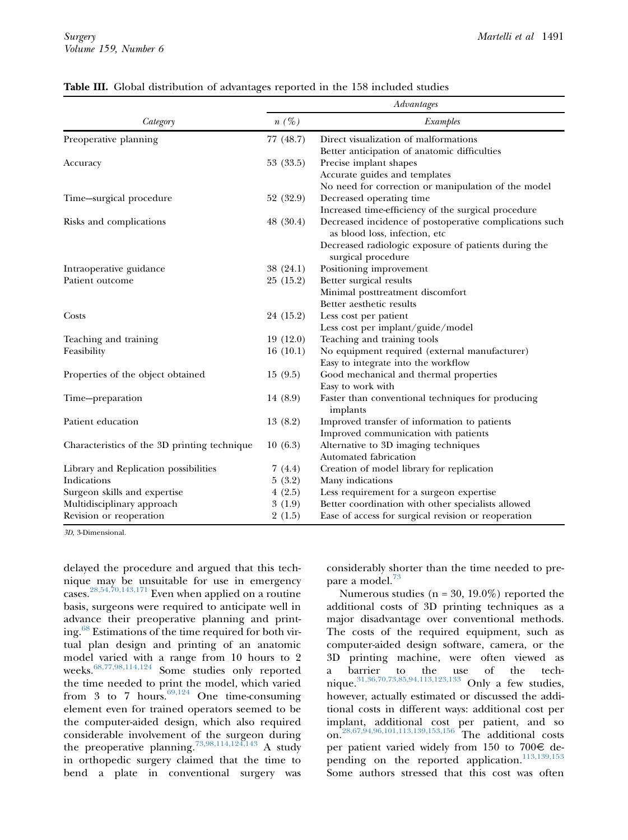|                                              | Advantages |                                                                                          |  |  |  |
|----------------------------------------------|------------|------------------------------------------------------------------------------------------|--|--|--|
| Category                                     | $n(\%)$    | Examples                                                                                 |  |  |  |
| Preoperative planning                        | 77 (48.7)  | Direct visualization of malformations                                                    |  |  |  |
|                                              |            | Better anticipation of anatomic difficulties                                             |  |  |  |
| Accuracy                                     | 53 (33.5)  | Precise implant shapes                                                                   |  |  |  |
|                                              |            | Accurate guides and templates                                                            |  |  |  |
|                                              |            | No need for correction or manipulation of the model                                      |  |  |  |
| Time-surgical procedure                      | 52 (32.9)  | Decreased operating time                                                                 |  |  |  |
|                                              |            | Increased time-efficiency of the surgical procedure                                      |  |  |  |
| Risks and complications                      | 48(30.4)   | Decreased incidence of postoperative complications such<br>as blood loss, infection, etc |  |  |  |
|                                              |            | Decreased radiologic exposure of patients during the                                     |  |  |  |
|                                              |            | surgical procedure                                                                       |  |  |  |
| Intraoperative guidance                      | 38(24.1)   | Positioning improvement                                                                  |  |  |  |
| Patient outcome                              | 25(15.2)   | Better surgical results                                                                  |  |  |  |
|                                              |            | Minimal posttreatment discomfort                                                         |  |  |  |
|                                              |            | Better aesthetic results                                                                 |  |  |  |
| Costs                                        | 24 (15.2)  | Less cost per patient                                                                    |  |  |  |
|                                              |            | Less cost per implant/guide/model                                                        |  |  |  |
| Teaching and training                        | 19(12.0)   | Teaching and training tools                                                              |  |  |  |
| Feasibility                                  | 16(10.1)   | No equipment required (external manufacturer)                                            |  |  |  |
|                                              |            | Easy to integrate into the workflow                                                      |  |  |  |
| Properties of the object obtained            | 15(9.5)    | Good mechanical and thermal properties                                                   |  |  |  |
|                                              |            | Easy to work with                                                                        |  |  |  |
| Time-preparation                             | 14 (8.9)   | Faster than conventional techniques for producing<br>implants                            |  |  |  |
| Patient education                            | 13(8.2)    | Improved transfer of information to patients                                             |  |  |  |
|                                              |            | Improved communication with patients                                                     |  |  |  |
| Characteristics of the 3D printing technique | 10(6.3)    | Alternative to 3D imaging techniques                                                     |  |  |  |
|                                              |            | Automated fabrication                                                                    |  |  |  |
| Library and Replication possibilities        | 7(4.4)     | Creation of model library for replication                                                |  |  |  |
| Indications                                  | 5(3.2)     | Many indications                                                                         |  |  |  |
| Surgeon skills and expertise                 | 4(2.5)     | Less requirement for a surgeon expertise                                                 |  |  |  |
| Multidisciplinary approach                   | 3(1.9)     | Better coordination with other specialists allowed                                       |  |  |  |
| Revision or reoperation                      | 2(1.5)     | Ease of access for surgical revision or reoperation                                      |  |  |  |

#### <span id="page-6-0"></span>Table III. Global distribution of advantages reported in the 158 included studies

3D, 3-Dimensional.

delayed the procedure and argued that this technique may be unsuitable for use in emergency cases.[28,54,70,143,171](#page-10-0) Even when applied on a routine basis, surgeons were required to anticipate well in advance their preoperative planning and print-ing.<sup>[68](#page-12-0)</sup> Estimations of the time required for both virtual plan design and printing of an anatomic model varied with a range from 10 hours to 2 weeks.[68,77,98,114,124](#page-12-0) Some studies only reported the time needed to print the model, which varied from 3 to 7 hours.  $69,124$  One time-consuming element even for trained operators seemed to be the computer-aided design, which also required considerable involvement of the surgeon during the preoperative planning.[73,98,114,124,143](#page-12-0) A study in orthopedic surgery claimed that the time to bend a plate in conventional surgery was

considerably shorter than the time needed to pre-pare a model.<sup>[73](#page-12-0)</sup>

Numerous studies ( $n = 30, 19.0\%$ ) reported the additional costs of 3D printing techniques as a major disadvantage over conventional methods. The costs of the required equipment, such as computer-aided design software, camera, or the 3D printing machine, were often viewed as a barrier to the use of the technique. $31,36,70,73,85,94,113,123,133$  Only a few studies, however, actually estimated or discussed the additional costs in different ways: additional cost per implant, additional cost per patient, and so on.[28,67,94,96,101,113,139,153,156](#page-10-0) The additional costs per patient varied widely from 150 to 700 $\in$  de-pending on the reported application.<sup>[113,139,153](#page-13-0)</sup> Some authors stressed that this cost was often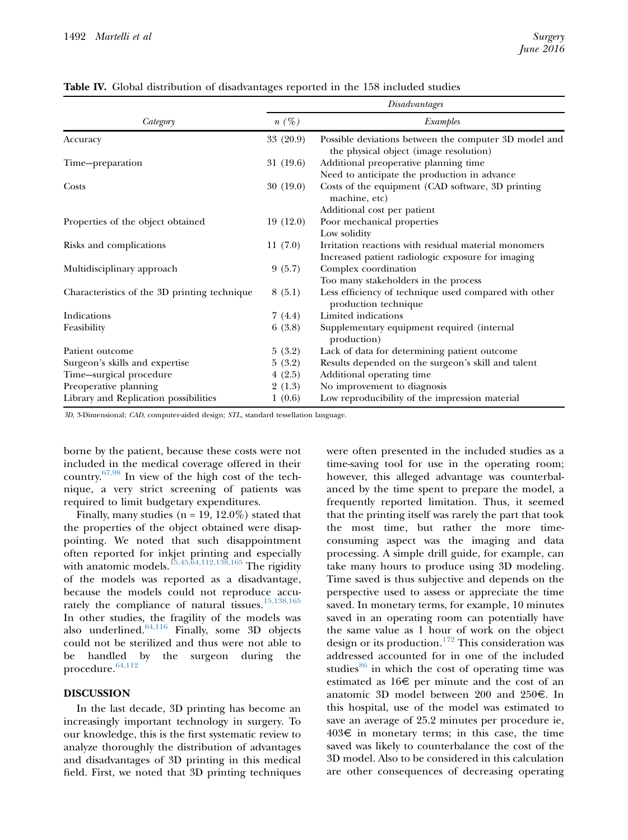|                                              | Disadvantages |                                                                                                 |  |
|----------------------------------------------|---------------|-------------------------------------------------------------------------------------------------|--|
| Category                                     | $n(\%)$       | Examples                                                                                        |  |
| Accuracy                                     | 33(20.9)      | Possible deviations between the computer 3D model and<br>the physical object (image resolution) |  |
| Time-preparation                             | 31 (19.6)     | Additional preoperative planning time                                                           |  |
|                                              |               | Need to anticipate the production in advance                                                    |  |
| Costs                                        | 30(19.0)      | Costs of the equipment (CAD software, 3D printing<br>machine, etc)                              |  |
|                                              |               | Additional cost per patient                                                                     |  |
| Properties of the object obtained            | 19(12.0)      | Poor mechanical properties                                                                      |  |
|                                              |               | Low solidity                                                                                    |  |
| Risks and complications                      | 11(7.0)       | Irritation reactions with residual material monomers                                            |  |
|                                              |               | Increased patient radiologic exposure for imaging                                               |  |
| Multidisciplinary approach                   | 9(5.7)        | Complex coordination                                                                            |  |
|                                              |               | Too many stakeholders in the process                                                            |  |
| Characteristics of the 3D printing technique | 8(5.1)        | Less efficiency of technique used compared with other<br>production technique                   |  |
| Indications                                  | 7(4.4)        | Limited indications                                                                             |  |
| Feasibility                                  | 6(3.8)        | Supplementary equipment required (internal<br>production)                                       |  |
| Patient outcome                              | 5(3.2)        | Lack of data for determining patient outcome                                                    |  |
| Surgeon's skills and expertise               | 5(3.2)        | Results depended on the surgeon's skill and talent                                              |  |
| Time-surgical procedure                      | 4(2.5)        | Additional operating time                                                                       |  |
| Preoperative planning                        | 2(1.3)        | No improvement to diagnosis                                                                     |  |
| Library and Replication possibilities        | 1(0.6)        | Low reproducibility of the impression material                                                  |  |

Table IV. Global distribution of disadvantages reported in the 158 included studies

3D, 3-Dimensional; CAD, computer-aided design; STL, standard tessellation language.

borne by the patient, because these costs were not included in the medical coverage offered in their country.[67,98](#page-12-0) In view of the high cost of the technique, a very strict screening of patients was required to limit budgetary expenditures.

Finally, many studies ( $n = 19, 12.0\%$ ) stated that the properties of the object obtained were disappointing. We noted that such disappointment often reported for inkjet printing and especially with anatomic models. $^{15,45,\tilde{6}4,112,13\tilde{8},165}_{ }$  The rigidity of the models was reported as a disadvantage, because the models could not reproduce accu-rately the compliance of natural tissues.<sup>[15,138,165](#page-10-0)</sup> In other studies, the fragility of the models was also underlined. $64,116$  Finally, some 3D objects could not be sterilized and thus were not able to be handled by the surgeon during the procedure.  $64,112$ 

### DISCUSSION

In the last decade, 3D printing has become an increasingly important technology in surgery. To our knowledge, this is the first systematic review to analyze thoroughly the distribution of advantages and disadvantages of 3D printing in this medical field. First, we noted that 3D printing techniques were often presented in the included studies as a time-saving tool for use in the operating room; however, this alleged advantage was counterbalanced by the time spent to prepare the model, a frequently reported limitation. Thus, it seemed that the printing itself was rarely the part that took the most time, but rather the more timeconsuming aspect was the imaging and data processing. A simple drill guide, for example, can take many hours to produce using 3D modeling. Time saved is thus subjective and depends on the perspective used to assess or appreciate the time saved. In monetary terms, for example, 10 minutes saved in an operating room can potentially have the same value as 1 hour of work on the object design or its production.<sup>[172](#page-15-0)</sup> This consideration was addressed accounted for in one of the included studies<sup>[86](#page-12-0)</sup> in which the cost of operating time was estimated as  $16 \in \mathbb{R}$  per minute and the cost of an anatomic 3D model between 200 and 250 $\in$ . In this hospital, use of the model was estimated to save an average of 25.2 minutes per procedure ie,  $403\epsilon$  in monetary terms; in this case, the time saved was likely to counterbalance the cost of the 3D model. Also to be considered in this calculation are other consequences of decreasing operating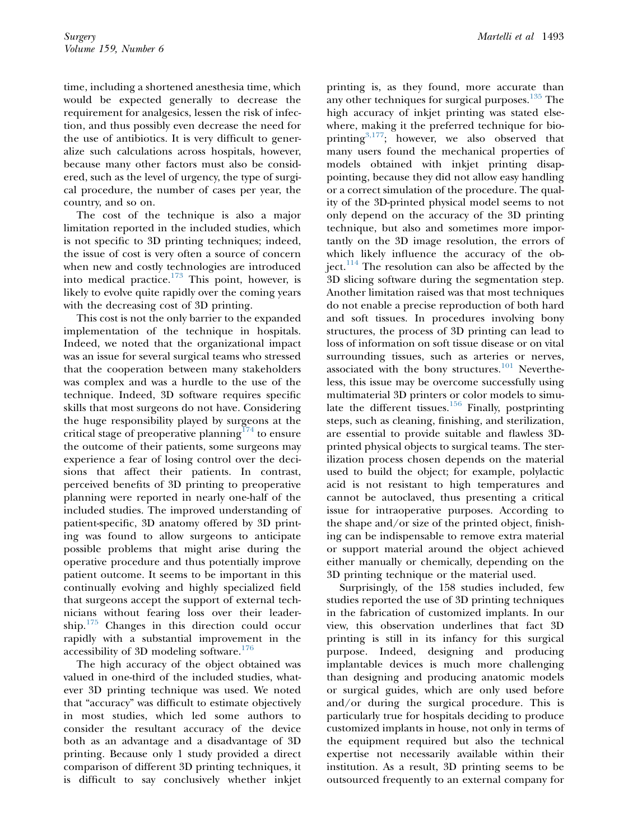time, including a shortened anesthesia time, which would be expected generally to decrease the requirement for analgesics, lessen the risk of infection, and thus possibly even decrease the need for the use of antibiotics. It is very difficult to generalize such calculations across hospitals, however, because many other factors must also be considered, such as the level of urgency, the type of surgical procedure, the number of cases per year, the country, and so on.

The cost of the technique is also a major limitation reported in the included studies, which is not specific to 3D printing techniques; indeed, the issue of cost is very often a source of concern when new and costly technologies are introduced into medical practice.<sup>[173](#page-15-0)</sup> This point, however, is likely to evolve quite rapidly over the coming years with the decreasing cost of 3D printing.

This cost is not the only barrier to the expanded implementation of the technique in hospitals. Indeed, we noted that the organizational impact was an issue for several surgical teams who stressed that the cooperation between many stakeholders was complex and was a hurdle to the use of the technique. Indeed, 3D software requires specific skills that most surgeons do not have. Considering the huge responsibility played by surgeons at the critical stage of preoperative planning<sup>[174](#page-15-0)</sup> to ensure the outcome of their patients, some surgeons may experience a fear of losing control over the decisions that affect their patients. In contrast, perceived benefits of 3D printing to preoperative planning were reported in nearly one-half of the included studies. The improved understanding of patient-specific, 3D anatomy offered by 3D printing was found to allow surgeons to anticipate possible problems that might arise during the operative procedure and thus potentially improve patient outcome. It seems to be important in this continually evolving and highly specialized field that surgeons accept the support of external technicians without fearing loss over their leadership.[175](#page-15-0) Changes in this direction could occur rapidly with a substantial improvement in the accessibility of 3D modeling software. $176$ 

The high accuracy of the object obtained was valued in one-third of the included studies, whatever 3D printing technique was used. We noted that "accuracy" was difficult to estimate objectively in most studies, which led some authors to consider the resultant accuracy of the device both as an advantage and a disadvantage of 3D printing. Because only 1 study provided a direct comparison of different 3D printing techniques, it is difficult to say conclusively whether inkjet

printing is, as they found, more accurate than any other techniques for surgical purposes.<sup>[135](#page-14-0)</sup> The high accuracy of inkjet printing was stated elsewhere, making it the preferred technique for bioprinting $3,177$ ; however, we also observed that many users found the mechanical properties of models obtained with inkjet printing disappointing, because they did not allow easy handling or a correct simulation of the procedure. The quality of the 3D-printed physical model seems to not only depend on the accuracy of the 3D printing technique, but also and sometimes more importantly on the 3D image resolution, the errors of which likely influence the accuracy of the object. $114$  The resolution can also be affected by the 3D slicing software during the segmentation step. Another limitation raised was that most techniques do not enable a precise reproduction of both hard and soft tissues. In procedures involving bony structures, the process of 3D printing can lead to loss of information on soft tissue disease or on vital surrounding tissues, such as arteries or nerves, associated with the bony structures. $101$  Nevertheless, this issue may be overcome successfully using multimaterial 3D printers or color models to simulate the different tissues. $156$  Finally, postprinting steps, such as cleaning, finishing, and sterilization, are essential to provide suitable and flawless 3Dprinted physical objects to surgical teams. The sterilization process chosen depends on the material used to build the object; for example, polylactic acid is not resistant to high temperatures and cannot be autoclaved, thus presenting a critical issue for intraoperative purposes. According to the shape and/or size of the printed object, finishing can be indispensable to remove extra material or support material around the object achieved either manually or chemically, depending on the 3D printing technique or the material used.

Surprisingly, of the 158 studies included, few studies reported the use of 3D printing techniques in the fabrication of customized implants. In our view, this observation underlines that fact 3D printing is still in its infancy for this surgical purpose. Indeed, designing and producing implantable devices is much more challenging than designing and producing anatomic models or surgical guides, which are only used before and/or during the surgical procedure. This is particularly true for hospitals deciding to produce customized implants in house, not only in terms of the equipment required but also the technical expertise not necessarily available within their institution. As a result, 3D printing seems to be outsourced frequently to an external company for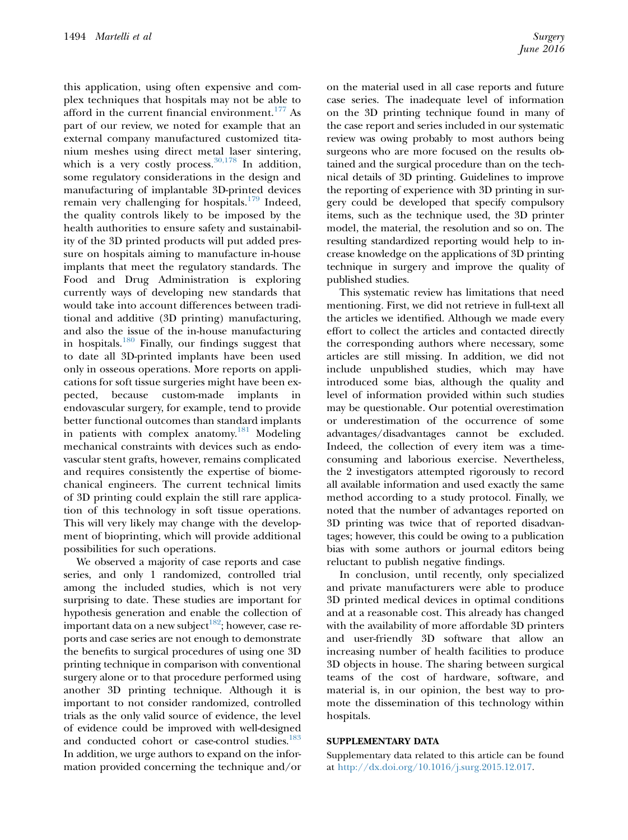this application, using often expensive and complex techniques that hospitals may not be able to afford in the current financial environment. $177$  As part of our review, we noted for example that an external company manufactured customized titanium meshes using direct metal laser sintering, which is a very costly process.  $30,178$  In addition, some regulatory considerations in the design and manufacturing of implantable 3D-printed devices remain very challenging for hospitals. $179$  Indeed, the quality controls likely to be imposed by the health authorities to ensure safety and sustainability of the 3D printed products will put added pressure on hospitals aiming to manufacture in-house implants that meet the regulatory standards. The Food and Drug Administration is exploring currently ways of developing new standards that would take into account differences between traditional and additive (3D printing) manufacturing, and also the issue of the in-house manufacturing in hospitals[.180](#page-15-0) Finally, our findings suggest that to date all 3D-printed implants have been used only in osseous operations. More reports on applications for soft tissue surgeries might have been expected, because custom-made implants in endovascular surgery, for example, tend to provide better functional outcomes than standard implants in patients with complex anatomy.<sup>181</sup> Modeling mechanical constraints with devices such as endovascular stent grafts, however, remains complicated and requires consistently the expertise of biomechanical engineers. The current technical limits of 3D printing could explain the still rare application of this technology in soft tissue operations. This will very likely may change with the development of bioprinting, which will provide additional possibilities for such operations.

We observed a majority of case reports and case series, and only 1 randomized, controlled trial among the included studies, which is not very surprising to date. These studies are important for hypothesis generation and enable the collection of important data on a new subject<sup>182</sup>; however, case reports and case series are not enough to demonstrate the benefits to surgical procedures of using one 3D printing technique in comparison with conventional surgery alone or to that procedure performed using another 3D printing technique. Although it is important to not consider randomized, controlled trials as the only valid source of evidence, the level of evidence could be improved with well-designed and conducted cohort or case-control studies.<sup>183</sup> In addition, we urge authors to expand on the information provided concerning the technique and/or

on the material used in all case reports and future case series. The inadequate level of information on the 3D printing technique found in many of the case report and series included in our systematic review was owing probably to most authors being surgeons who are more focused on the results obtained and the surgical procedure than on the technical details of 3D printing. Guidelines to improve the reporting of experience with 3D printing in surgery could be developed that specify compulsory items, such as the technique used, the 3D printer model, the material, the resolution and so on. The resulting standardized reporting would help to increase knowledge on the applications of 3D printing technique in surgery and improve the quality of published studies.

This systematic review has limitations that need mentioning. First, we did not retrieve in full-text all the articles we identified. Although we made every effort to collect the articles and contacted directly the corresponding authors where necessary, some articles are still missing. In addition, we did not include unpublished studies, which may have introduced some bias, although the quality and level of information provided within such studies may be questionable. Our potential overestimation or underestimation of the occurrence of some advantages/disadvantages cannot be excluded. Indeed, the collection of every item was a timeconsuming and laborious exercise. Nevertheless, the 2 investigators attempted rigorously to record all available information and used exactly the same method according to a study protocol. Finally, we noted that the number of advantages reported on 3D printing was twice that of reported disadvantages; however, this could be owing to a publication bias with some authors or journal editors being reluctant to publish negative findings.

In conclusion, until recently, only specialized and private manufacturers were able to produce 3D printed medical devices in optimal conditions and at a reasonable cost. This already has changed with the availability of more affordable 3D printers and user-friendly 3D software that allow an increasing number of health facilities to produce 3D objects in house. The sharing between surgical teams of the cost of hardware, software, and material is, in our opinion, the best way to promote the dissemination of this technology within hospitals.

### SUPPLEMENTARY DATA

Supplementary data related to this article can be found at [http://dx.doi.org/10.1016/j.surg.2015.12.017.](http://dx.doi.org/10.1016/j.surg.2015.12.017)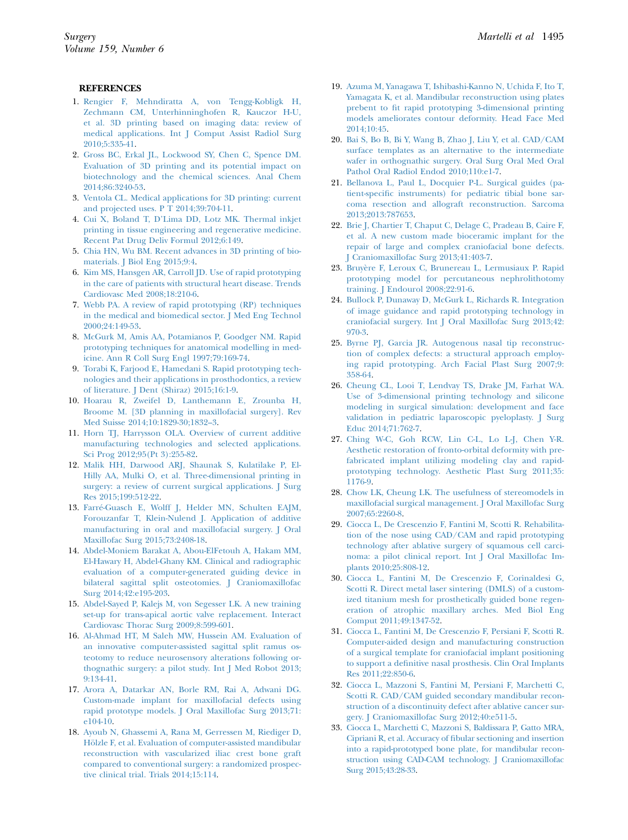#### <span id="page-10-0"></span>REFERENCES

- 1. [Rengier F, Mehndiratta A, von Tengg-Kobligk H,](http://refhub.elsevier.com/S0039-6060(15)01055-7/sref1) [Zechmann CM, Unterhinninghofen R, Kauczor H-U,](http://refhub.elsevier.com/S0039-6060(15)01055-7/sref1) [et al. 3D printing based on imaging data: review of](http://refhub.elsevier.com/S0039-6060(15)01055-7/sref1) [medical applications. Int J Comput Assist Radiol Surg](http://refhub.elsevier.com/S0039-6060(15)01055-7/sref1) [2010;5:335-41](http://refhub.elsevier.com/S0039-6060(15)01055-7/sref1).
- 2. [Gross BC, Erkal JL, Lockwood SY, Chen C, Spence DM.](http://refhub.elsevier.com/S0039-6060(15)01055-7/sref2) [Evaluation of 3D printing and its potential impact on](http://refhub.elsevier.com/S0039-6060(15)01055-7/sref2) [biotechnology and the chemical sciences. Anal Chem](http://refhub.elsevier.com/S0039-6060(15)01055-7/sref2) [2014;86:3240-53.](http://refhub.elsevier.com/S0039-6060(15)01055-7/sref2)
- 3. [Ventola CL. Medical applications for 3D printing: current](http://refhub.elsevier.com/S0039-6060(15)01055-7/sref3) [and projected uses. P T 2014;39:704-11](http://refhub.elsevier.com/S0039-6060(15)01055-7/sref3).
- 4. [Cui X, Boland T, D'Lima DD, Lotz MK. Thermal inkjet](http://refhub.elsevier.com/S0039-6060(15)01055-7/sref4) [printing in tissue engineering and regenerative medicine.](http://refhub.elsevier.com/S0039-6060(15)01055-7/sref4) [Recent Pat Drug Deliv Formul 2012;6:149.](http://refhub.elsevier.com/S0039-6060(15)01055-7/sref4)
- 5. [Chia HN, Wu BM. Recent advances in 3D printing of bio](http://refhub.elsevier.com/S0039-6060(15)01055-7/sref5)[materials. J Biol Eng 2015;9:4.](http://refhub.elsevier.com/S0039-6060(15)01055-7/sref5)
- 6. [Kim MS, Hansgen AR, Carroll JD. Use of rapid prototyping](http://refhub.elsevier.com/S0039-6060(15)01055-7/sref6) [in the care of patients with structural heart disease. Trends](http://refhub.elsevier.com/S0039-6060(15)01055-7/sref6) [Cardiovasc Med 2008;18:210-6](http://refhub.elsevier.com/S0039-6060(15)01055-7/sref6).
- 7. [Webb PA. A review of rapid prototyping \(RP\) techniques](http://refhub.elsevier.com/S0039-6060(15)01055-7/sref7) [in the medical and biomedical sector. J Med Eng Technol](http://refhub.elsevier.com/S0039-6060(15)01055-7/sref7) [2000;24:149-53](http://refhub.elsevier.com/S0039-6060(15)01055-7/sref7).
- 8. [McGurk M, Amis AA, Potamianos P, Goodger NM. Rapid](http://refhub.elsevier.com/S0039-6060(15)01055-7/sref8) [prototyping techniques for anatomical modelling in med](http://refhub.elsevier.com/S0039-6060(15)01055-7/sref8)[icine. Ann R Coll Surg Engl 1997;79:169-74.](http://refhub.elsevier.com/S0039-6060(15)01055-7/sref8)
- 9. [Torabi K, Farjood E, Hamedani S. Rapid prototyping tech](http://refhub.elsevier.com/S0039-6060(15)01055-7/sref9)[nologies and their applications in prosthodontics, a review](http://refhub.elsevier.com/S0039-6060(15)01055-7/sref9) [of literature. J Dent \(Shiraz\) 2015;16:1-9.](http://refhub.elsevier.com/S0039-6060(15)01055-7/sref9)
- 10. [Hoarau R, Zweifel D, Lanthemann E, Zrounba H,](http://refhub.elsevier.com/S0039-6060(15)01055-7/sref10) [Broome M. \[3D planning in maxillofacial surgery\]. Rev](http://refhub.elsevier.com/S0039-6060(15)01055-7/sref10) [Med Suisse 2014;10:1829-30;1832–3.](http://refhub.elsevier.com/S0039-6060(15)01055-7/sref10)
- 11. [Horn TJ, Harrysson OLA. Overview of current additive](http://refhub.elsevier.com/S0039-6060(15)01055-7/sref11) [manufacturing technologies and selected applications.](http://refhub.elsevier.com/S0039-6060(15)01055-7/sref11) [Sci Prog 2012;95\(Pt 3\):255-82](http://refhub.elsevier.com/S0039-6060(15)01055-7/sref11).
- 12. [Malik HH, Darwood ARJ, Shaunak S, Kulatilake P, El-](http://refhub.elsevier.com/S0039-6060(15)01055-7/sref12)[Hilly AA, Mulki O, et al. Three-dimensional printing in](http://refhub.elsevier.com/S0039-6060(15)01055-7/sref12) [surgery: a review of current surgical applications. J Surg](http://refhub.elsevier.com/S0039-6060(15)01055-7/sref12) [Res 2015;199:512-22](http://refhub.elsevier.com/S0039-6060(15)01055-7/sref12).
- 13. [Farr](http://refhub.elsevier.com/S0039-6060(15)01055-7/sref13)[e-Guasch E, Wolff J, Helder MN, Schulten EAJM,](http://refhub.elsevier.com/S0039-6060(15)01055-7/sref13) [Forouzanfar T, Klein-Nulend J. Application of additive](http://refhub.elsevier.com/S0039-6060(15)01055-7/sref13) [manufacturing in oral and maxillofacial surgery. J Oral](http://refhub.elsevier.com/S0039-6060(15)01055-7/sref13) [Maxillofac Surg 2015;73:2408-18](http://refhub.elsevier.com/S0039-6060(15)01055-7/sref13).
- 14. [Abdel-Moniem Barakat A, Abou-ElFetouh A, Hakam MM,](http://refhub.elsevier.com/S0039-6060(15)01055-7/sref14) [El-Hawary H, Abdel-Ghany KM. Clinical and radiographic](http://refhub.elsevier.com/S0039-6060(15)01055-7/sref14) [evaluation of a computer-generated guiding device in](http://refhub.elsevier.com/S0039-6060(15)01055-7/sref14) [bilateral sagittal split osteotomies. J Craniomaxillofac](http://refhub.elsevier.com/S0039-6060(15)01055-7/sref14) [Surg 2014;42:e195-203](http://refhub.elsevier.com/S0039-6060(15)01055-7/sref14).
- 15. [Abdel-Sayed P, Kalejs M, von Segesser LK. A new training](http://refhub.elsevier.com/S0039-6060(15)01055-7/sref15) [set-up for trans-apical aortic valve replacement. Interact](http://refhub.elsevier.com/S0039-6060(15)01055-7/sref15) [Cardiovasc Thorac Surg 2009;8:599-601.](http://refhub.elsevier.com/S0039-6060(15)01055-7/sref15)
- 16. [Al-Ahmad HT, M Saleh MW, Hussein AM. Evaluation of](http://refhub.elsevier.com/S0039-6060(15)01055-7/sref16) [an innovative computer-assisted sagittal split ramus os](http://refhub.elsevier.com/S0039-6060(15)01055-7/sref16)[teotomy to reduce neurosensory alterations following or](http://refhub.elsevier.com/S0039-6060(15)01055-7/sref16)[thognathic surgery: a pilot study. Int J Med Robot 2013;](http://refhub.elsevier.com/S0039-6060(15)01055-7/sref16) [9:134-41.](http://refhub.elsevier.com/S0039-6060(15)01055-7/sref16)
- 17. [Arora A, Datarkar AN, Borle RM, Rai A, Adwani DG.](http://refhub.elsevier.com/S0039-6060(15)01055-7/sref17) [Custom-made implant for maxillofacial defects using](http://refhub.elsevier.com/S0039-6060(15)01055-7/sref17) [rapid prototype models. J Oral Maxillofac Surg 2013;71:](http://refhub.elsevier.com/S0039-6060(15)01055-7/sref17) [e104-10](http://refhub.elsevier.com/S0039-6060(15)01055-7/sref17).
- 18. [Ayoub N, Ghassemi A, Rana M, Gerressen M, Riediger D,](http://refhub.elsevier.com/S0039-6060(15)01055-7/sref18) [H](http://refhub.elsevier.com/S0039-6060(15)01055-7/sref18)ö[lzle F, et al. Evaluation of computer-assisted mandibular](http://refhub.elsevier.com/S0039-6060(15)01055-7/sref18) [reconstruction with vascularized iliac crest bone graft](http://refhub.elsevier.com/S0039-6060(15)01055-7/sref18) [compared to conventional surgery: a randomized prospec](http://refhub.elsevier.com/S0039-6060(15)01055-7/sref18)[tive clinical trial. Trials 2014;15:114.](http://refhub.elsevier.com/S0039-6060(15)01055-7/sref18)
- 19. [Azuma M, Yanagawa T, Ishibashi-Kanno N, Uchida F, Ito T,](http://refhub.elsevier.com/S0039-6060(15)01055-7/sref19) [Yamagata K, et al. Mandibular reconstruction using plates](http://refhub.elsevier.com/S0039-6060(15)01055-7/sref19) [prebent to fit rapid prototyping 3-dimensional printing](http://refhub.elsevier.com/S0039-6060(15)01055-7/sref19) [models ameliorates contour deformity. Head Face Med](http://refhub.elsevier.com/S0039-6060(15)01055-7/sref19) [2014;10:45](http://refhub.elsevier.com/S0039-6060(15)01055-7/sref19).
- 20. [Bai S, Bo B, Bi Y, Wang B, Zhao J, Liu Y, et al. CAD/CAM](http://refhub.elsevier.com/S0039-6060(15)01055-7/sref20) [surface templates as an alternative to the intermediate](http://refhub.elsevier.com/S0039-6060(15)01055-7/sref20) [wafer in orthognathic surgery. Oral Surg Oral Med Oral](http://refhub.elsevier.com/S0039-6060(15)01055-7/sref20) [Pathol Oral Radiol Endod 2010;110:e1-7](http://refhub.elsevier.com/S0039-6060(15)01055-7/sref20).
- 21. [Bellanova L, Paul L, Docquier P-L. Surgical guides \(pa](http://refhub.elsevier.com/S0039-6060(15)01055-7/sref21)[tient-specific instruments\) for pediatric tibial bone sar](http://refhub.elsevier.com/S0039-6060(15)01055-7/sref21)[coma resection and allograft reconstruction. Sarcoma](http://refhub.elsevier.com/S0039-6060(15)01055-7/sref21) [2013;2013:787653](http://refhub.elsevier.com/S0039-6060(15)01055-7/sref21).
- 22. [Brie J, Chartier T, Chaput C, Delage C, Pradeau B, Caire F,](http://refhub.elsevier.com/S0039-6060(15)01055-7/sref22) [et al. A new custom made bioceramic implant for the](http://refhub.elsevier.com/S0039-6060(15)01055-7/sref22) [repair of large and complex craniofacial bone defects.](http://refhub.elsevier.com/S0039-6060(15)01055-7/sref22) [J Craniomaxillofac Surg 2013;41:403-7.](http://refhub.elsevier.com/S0039-6060(15)01055-7/sref22)
- 23. [Bruy](http://refhub.elsevier.com/S0039-6060(15)01055-7/sref23)[ere F, Leroux C, Brunereau L, Lermusiaux P. Rapid](http://refhub.elsevier.com/S0039-6060(15)01055-7/sref23) [prototyping model for percutaneous nephrolithotomy](http://refhub.elsevier.com/S0039-6060(15)01055-7/sref23) [training. J Endourol 2008;22:91-6](http://refhub.elsevier.com/S0039-6060(15)01055-7/sref23).
- 24. [Bullock P, Dunaway D, McGurk L, Richards R. Integration](http://refhub.elsevier.com/S0039-6060(15)01055-7/sref24) [of image guidance and rapid prototyping technology in](http://refhub.elsevier.com/S0039-6060(15)01055-7/sref24) [craniofacial surgery. Int J Oral Maxillofac Surg 2013;42:](http://refhub.elsevier.com/S0039-6060(15)01055-7/sref24) [970-3](http://refhub.elsevier.com/S0039-6060(15)01055-7/sref24).
- 25. [Byrne PJ, Garcia JR. Autogenous nasal tip reconstruc](http://refhub.elsevier.com/S0039-6060(15)01055-7/sref25)[tion of complex defects: a structural approach employ](http://refhub.elsevier.com/S0039-6060(15)01055-7/sref25)[ing rapid prototyping. Arch Facial Plast Surg 2007;9:](http://refhub.elsevier.com/S0039-6060(15)01055-7/sref25) [358-64](http://refhub.elsevier.com/S0039-6060(15)01055-7/sref25).
- 26. [Cheung CL, Looi T, Lendvay TS, Drake JM, Farhat WA.](http://refhub.elsevier.com/S0039-6060(15)01055-7/sref26) [Use of 3-dimensional printing technology and silicone](http://refhub.elsevier.com/S0039-6060(15)01055-7/sref26) [modeling in surgical simulation: development and face](http://refhub.elsevier.com/S0039-6060(15)01055-7/sref26) [validation in pediatric laparoscopic pyeloplasty. J Surg](http://refhub.elsevier.com/S0039-6060(15)01055-7/sref26) [Educ 2014;71:762-7.](http://refhub.elsevier.com/S0039-6060(15)01055-7/sref26)
- 27. [Ching W-C, Goh RCW, Lin C-L, Lo L-J, Chen Y-R.](http://refhub.elsevier.com/S0039-6060(15)01055-7/sref27) [Aesthetic restoration of fronto-orbital deformity with pre](http://refhub.elsevier.com/S0039-6060(15)01055-7/sref27)[fabricated implant utilizing modeling clay and rapid](http://refhub.elsevier.com/S0039-6060(15)01055-7/sref27)[prototyping technology. Aesthetic Plast Surg 2011;35:](http://refhub.elsevier.com/S0039-6060(15)01055-7/sref27) [1176-9.](http://refhub.elsevier.com/S0039-6060(15)01055-7/sref27)
- 28. [Chow LK, Cheung LK. The usefulness of stereomodels in](http://refhub.elsevier.com/S0039-6060(15)01055-7/sref28) [maxillofacial surgical management. J Oral Maxillofac Surg](http://refhub.elsevier.com/S0039-6060(15)01055-7/sref28) [2007;65:2260-8](http://refhub.elsevier.com/S0039-6060(15)01055-7/sref28).
- 29. [Ciocca L, De Crescenzio F, Fantini M, Scotti R. Rehabilita](http://refhub.elsevier.com/S0039-6060(15)01055-7/sref29)[tion of the nose using CAD/CAM and rapid prototyping](http://refhub.elsevier.com/S0039-6060(15)01055-7/sref29) [technology after ablative surgery of squamous cell carci](http://refhub.elsevier.com/S0039-6060(15)01055-7/sref29)[noma: a pilot clinical report. Int J Oral Maxillofac Im](http://refhub.elsevier.com/S0039-6060(15)01055-7/sref29)[plants 2010;25:808-12](http://refhub.elsevier.com/S0039-6060(15)01055-7/sref29).
- 30. [Ciocca L, Fantini M, De Crescenzio F, Corinaldesi G,](http://refhub.elsevier.com/S0039-6060(15)01055-7/sref30) [Scotti R. Direct metal laser sintering \(DMLS\) of a custom](http://refhub.elsevier.com/S0039-6060(15)01055-7/sref30)[ized titanium mesh for prosthetically guided bone regen](http://refhub.elsevier.com/S0039-6060(15)01055-7/sref30)[eration of atrophic maxillary arches. Med Biol Eng](http://refhub.elsevier.com/S0039-6060(15)01055-7/sref30) [Comput 2011;49:1347-52.](http://refhub.elsevier.com/S0039-6060(15)01055-7/sref30)
- 31. [Ciocca L, Fantini M, De Crescenzio F, Persiani F, Scotti R.](http://refhub.elsevier.com/S0039-6060(15)01055-7/sref31) [Computer-aided design and manufacturing construction](http://refhub.elsevier.com/S0039-6060(15)01055-7/sref31) [of a surgical template for craniofacial implant positioning](http://refhub.elsevier.com/S0039-6060(15)01055-7/sref31) [to support a definitive nasal prosthesis. Clin Oral Implants](http://refhub.elsevier.com/S0039-6060(15)01055-7/sref31) [Res 2011;22:850-6](http://refhub.elsevier.com/S0039-6060(15)01055-7/sref31).
- 32. [Ciocca L, Mazzoni S, Fantini M, Persiani F, Marchetti C,](http://refhub.elsevier.com/S0039-6060(15)01055-7/sref32) [Scotti R. CAD/CAM guided secondary mandibular recon](http://refhub.elsevier.com/S0039-6060(15)01055-7/sref32)[struction of a discontinuity defect after ablative cancer sur](http://refhub.elsevier.com/S0039-6060(15)01055-7/sref32)[gery. J Craniomaxillofac Surg 2012;40:e511-5.](http://refhub.elsevier.com/S0039-6060(15)01055-7/sref32)
- 33. [Ciocca L, Marchetti C, Mazzoni S, Baldissara P, Gatto MRA,](http://refhub.elsevier.com/S0039-6060(15)01055-7/sref33) [Cipriani R, et al. Accuracy of fibular sectioning and insertion](http://refhub.elsevier.com/S0039-6060(15)01055-7/sref33) [into a rapid-prototyped bone plate, for mandibular recon](http://refhub.elsevier.com/S0039-6060(15)01055-7/sref33)[struction using CAD-CAM technology. J Craniomaxillofac](http://refhub.elsevier.com/S0039-6060(15)01055-7/sref33) [Surg 2015;43:28-33](http://refhub.elsevier.com/S0039-6060(15)01055-7/sref33).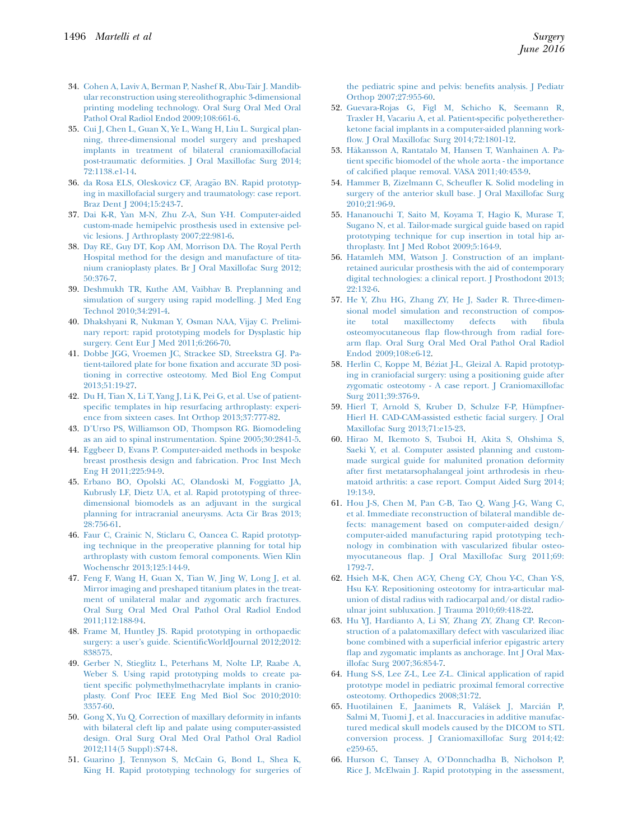- <span id="page-11-0"></span>34. [Cohen A, Laviv A, Berman P, Nashef R, Abu-Tair J. Mandib](http://refhub.elsevier.com/S0039-6060(15)01055-7/sref34)[ular reconstruction using stereolithographic 3-dimensional](http://refhub.elsevier.com/S0039-6060(15)01055-7/sref34) [printing modeling technology. Oral Surg Oral Med Oral](http://refhub.elsevier.com/S0039-6060(15)01055-7/sref34) [Pathol Oral Radiol Endod 2009;108:661-6.](http://refhub.elsevier.com/S0039-6060(15)01055-7/sref34)
- 35. [Cui J, Chen L, Guan X, Ye L, Wang H, Liu L. Surgical plan](http://refhub.elsevier.com/S0039-6060(15)01055-7/sref35)[ning, three-dimensional model surgery and preshaped](http://refhub.elsevier.com/S0039-6060(15)01055-7/sref35) [implants in treatment of bilateral craniomaxillofacial](http://refhub.elsevier.com/S0039-6060(15)01055-7/sref35) [post-traumatic deformities. J Oral Maxillofac Surg 2014;](http://refhub.elsevier.com/S0039-6060(15)01055-7/sref35) [72:1138.e1-14](http://refhub.elsevier.com/S0039-6060(15)01055-7/sref35).
- 36. [da Rosa ELS, Oleskovicz CF, Arag](http://refhub.elsevier.com/S0039-6060(15)01055-7/sref36)ã[o BN. Rapid prototyp](http://refhub.elsevier.com/S0039-6060(15)01055-7/sref36)[ing in maxillofacial surgery and traumatology: case report.](http://refhub.elsevier.com/S0039-6060(15)01055-7/sref36) [Braz Dent J 2004;15:243-7](http://refhub.elsevier.com/S0039-6060(15)01055-7/sref36).
- 37. [Dai K-R, Yan M-N, Zhu Z-A, Sun Y-H. Computer-aided](http://refhub.elsevier.com/S0039-6060(15)01055-7/sref37) [custom-made hemipelvic prosthesis used in extensive pel](http://refhub.elsevier.com/S0039-6060(15)01055-7/sref37)[vic lesions. J Arthroplasty 2007;22:981-6](http://refhub.elsevier.com/S0039-6060(15)01055-7/sref37).
- 38. [Day RE, Guy DT, Kop AM, Morrison DA. The Royal Perth](http://refhub.elsevier.com/S0039-6060(15)01055-7/sref38) [Hospital method for the design and manufacture of tita](http://refhub.elsevier.com/S0039-6060(15)01055-7/sref38)[nium cranioplasty plates. Br J Oral Maxillofac Surg 2012;](http://refhub.elsevier.com/S0039-6060(15)01055-7/sref38) [50:376-7.](http://refhub.elsevier.com/S0039-6060(15)01055-7/sref38)
- 39. [Deshmukh TR, Kuthe AM, Vaibhav B. Preplanning and](http://refhub.elsevier.com/S0039-6060(15)01055-7/sref39) [simulation of surgery using rapid modelling. J Med Eng](http://refhub.elsevier.com/S0039-6060(15)01055-7/sref39) [Technol 2010;34:291-4](http://refhub.elsevier.com/S0039-6060(15)01055-7/sref39).
- 40. [Dhakshyani R, Nukman Y, Osman NAA, Vijay C. Prelimi](http://refhub.elsevier.com/S0039-6060(15)01055-7/sref40)[nary report: rapid prototyping models for Dysplastic hip](http://refhub.elsevier.com/S0039-6060(15)01055-7/sref40) [surgery. Cent Eur J Med 2011;6:266-70](http://refhub.elsevier.com/S0039-6060(15)01055-7/sref40).
- 41. [Dobbe JGG, Vroemen JC, Strackee SD, Streekstra GJ. Pa](http://refhub.elsevier.com/S0039-6060(15)01055-7/sref41)[tient-tailored plate for bone fixation and accurate 3D posi](http://refhub.elsevier.com/S0039-6060(15)01055-7/sref41)[tioning in corrective osteotomy. Med Biol Eng Comput](http://refhub.elsevier.com/S0039-6060(15)01055-7/sref41) [2013;51:19-27](http://refhub.elsevier.com/S0039-6060(15)01055-7/sref41).
- 42. [Du H, Tian X, Li T, Yang J, Li K, Pei G, et al. Use of patient](http://refhub.elsevier.com/S0039-6060(15)01055-7/sref42)[specific templates in hip resurfacing arthroplasty: experi](http://refhub.elsevier.com/S0039-6060(15)01055-7/sref42)[ence from sixteen cases. Int Orthop 2013;37:777-82](http://refhub.elsevier.com/S0039-6060(15)01055-7/sref42).
- 43. [D'Urso PS, Williamson OD, Thompson RG. Biomodeling](http://refhub.elsevier.com/S0039-6060(15)01055-7/sref43) [as an aid to spinal instrumentation. Spine 2005;30:2841-5](http://refhub.elsevier.com/S0039-6060(15)01055-7/sref43).
- 44. [Eggbeer D, Evans P. Computer-aided methods in bespoke](http://refhub.elsevier.com/S0039-6060(15)01055-7/sref44) [breast prosthesis design and fabrication. Proc Inst Mech](http://refhub.elsevier.com/S0039-6060(15)01055-7/sref44) [Eng H 2011;225:94-9](http://refhub.elsevier.com/S0039-6060(15)01055-7/sref44).
- 45. [Erbano BO, Opolski AC, Olandoski M, Foggiatto JA,](http://refhub.elsevier.com/S0039-6060(15)01055-7/sref45) [Kubrusly LF, Dietz UA, et al. Rapid prototyping of three](http://refhub.elsevier.com/S0039-6060(15)01055-7/sref45)[dimensional biomodels as an adjuvant in the surgical](http://refhub.elsevier.com/S0039-6060(15)01055-7/sref45) [planning for intracranial aneurysms. Acta Cir Bras 2013;](http://refhub.elsevier.com/S0039-6060(15)01055-7/sref45) [28:756-61.](http://refhub.elsevier.com/S0039-6060(15)01055-7/sref45)
- 46. [Faur C, Crainic N, Sticlaru C, Oancea C. Rapid prototyp](http://refhub.elsevier.com/S0039-6060(15)01055-7/sref46)[ing technique in the preoperative planning for total hip](http://refhub.elsevier.com/S0039-6060(15)01055-7/sref46) [arthroplasty with custom femoral components. Wien Klin](http://refhub.elsevier.com/S0039-6060(15)01055-7/sref46) [Wochenschr 2013;125:144-9.](http://refhub.elsevier.com/S0039-6060(15)01055-7/sref46)
- 47. [Feng F, Wang H, Guan X, Tian W, Jing W, Long J, et al.](http://refhub.elsevier.com/S0039-6060(15)01055-7/sref47) [Mirror imaging and preshaped titanium plates in the treat](http://refhub.elsevier.com/S0039-6060(15)01055-7/sref47)[ment of unilateral malar and zygomatic arch fractures.](http://refhub.elsevier.com/S0039-6060(15)01055-7/sref47) [Oral Surg Oral Med Oral Pathol Oral Radiol Endod](http://refhub.elsevier.com/S0039-6060(15)01055-7/sref47) [2011;112:188-94.](http://refhub.elsevier.com/S0039-6060(15)01055-7/sref47)
- 48. [Frame M, Huntley JS. Rapid prototyping in orthopaedic](http://refhub.elsevier.com/S0039-6060(15)01055-7/sref48) [surgery: a user's guide. ScientificWorldJournal 2012;2012:](http://refhub.elsevier.com/S0039-6060(15)01055-7/sref48) [838575.](http://refhub.elsevier.com/S0039-6060(15)01055-7/sref48)
- 49. [Gerber N, Stieglitz L, Peterhans M, Nolte LP, Raabe A,](http://refhub.elsevier.com/S0039-6060(15)01055-7/sref49) [Weber S. Using rapid prototyping molds to create pa](http://refhub.elsevier.com/S0039-6060(15)01055-7/sref49)[tient specific polymethylmethacrylate implants in cranio](http://refhub.elsevier.com/S0039-6060(15)01055-7/sref49)[plasty. Conf Proc IEEE Eng Med Biol Soc 2010;2010:](http://refhub.elsevier.com/S0039-6060(15)01055-7/sref49) [3357-60.](http://refhub.elsevier.com/S0039-6060(15)01055-7/sref49)
- 50. [Gong X, Yu Q. Correction of maxillary deformity in infants](http://refhub.elsevier.com/S0039-6060(15)01055-7/sref50) [with bilateral cleft lip and palate using computer-assisted](http://refhub.elsevier.com/S0039-6060(15)01055-7/sref50) [design. Oral Surg Oral Med Oral Pathol Oral Radiol](http://refhub.elsevier.com/S0039-6060(15)01055-7/sref50) [2012;114\(5 Suppl\):S74-8](http://refhub.elsevier.com/S0039-6060(15)01055-7/sref50).
- 51. [Guarino J, Tennyson S, McCain G, Bond L, Shea K,](http://refhub.elsevier.com/S0039-6060(15)01055-7/sref51) [King H. Rapid prototyping technology for surgeries of](http://refhub.elsevier.com/S0039-6060(15)01055-7/sref51)

[the pediatric spine and pelvis: benefits analysis. J Pediatr](http://refhub.elsevier.com/S0039-6060(15)01055-7/sref51) [Orthop 2007;27:955-60](http://refhub.elsevier.com/S0039-6060(15)01055-7/sref51).

- 52. [Guevara-Rojas G, Figl M, Schicho K, Seemann R,](http://refhub.elsevier.com/S0039-6060(15)01055-7/sref52) [Traxler H, Vacariu A, et al. Patient-specific polyetherether](http://refhub.elsevier.com/S0039-6060(15)01055-7/sref52)[ketone facial implants in a computer-aided planning work](http://refhub.elsevier.com/S0039-6060(15)01055-7/sref52)[flow. J Oral Maxillofac Surg 2014;72:1801-12.](http://refhub.elsevier.com/S0039-6060(15)01055-7/sref52)
- 53. [H](http://refhub.elsevier.com/S0039-6060(15)01055-7/sref53)[akansson A, Rantatalo M, Hansen T, Wanhainen A. Pa](http://refhub.elsevier.com/S0039-6060(15)01055-7/sref53)[tient specific biomodel of the whole aorta - the importance](http://refhub.elsevier.com/S0039-6060(15)01055-7/sref53) [of calcified plaque removal. VASA 2011;40:453-9](http://refhub.elsevier.com/S0039-6060(15)01055-7/sref53).
- 54. [Hammer B, Zizelmann C, Scheufler K. Solid modeling in](http://refhub.elsevier.com/S0039-6060(15)01055-7/sref54) [surgery of the anterior skull base. J Oral Maxillofac Surg](http://refhub.elsevier.com/S0039-6060(15)01055-7/sref54) [2010;21:96-9](http://refhub.elsevier.com/S0039-6060(15)01055-7/sref54).
- 55. [Hananouchi T, Saito M, Koyama T, Hagio K, Murase T,](http://refhub.elsevier.com/S0039-6060(15)01055-7/sref55) [Sugano N, et al. Tailor-made surgical guide based on rapid](http://refhub.elsevier.com/S0039-6060(15)01055-7/sref55) [prototyping technique for cup insertion in total hip ar](http://refhub.elsevier.com/S0039-6060(15)01055-7/sref55)[throplasty. Int J Med Robot 2009;5:164-9](http://refhub.elsevier.com/S0039-6060(15)01055-7/sref55).
- 56. [Hatamleh MM, Watson J. Construction of an implant](http://refhub.elsevier.com/S0039-6060(15)01055-7/sref56)[retained auricular prosthesis with the aid of contemporary](http://refhub.elsevier.com/S0039-6060(15)01055-7/sref56) [digital technologies: a clinical report. J Prosthodont 2013;](http://refhub.elsevier.com/S0039-6060(15)01055-7/sref56) [22:132-6.](http://refhub.elsevier.com/S0039-6060(15)01055-7/sref56)
- 57. [He Y, Zhu HG, Zhang ZY, He J, Sader R. Three-dimen](http://refhub.elsevier.com/S0039-6060(15)01055-7/sref57)[sional model simulation and reconstruction of compos](http://refhub.elsevier.com/S0039-6060(15)01055-7/sref57)[ite total maxillectomy defects with fibula](http://refhub.elsevier.com/S0039-6060(15)01055-7/sref57) [osteomyocutaneous flap flow-through from radial fore](http://refhub.elsevier.com/S0039-6060(15)01055-7/sref57)[arm flap. Oral Surg Oral Med Oral Pathol Oral Radiol](http://refhub.elsevier.com/S0039-6060(15)01055-7/sref57) [Endod 2009;108:e6-12](http://refhub.elsevier.com/S0039-6060(15)01055-7/sref57).
- 58. [Herlin C, Koppe M, B](http://refhub.elsevier.com/S0039-6060(15)01055-7/sref58)[eziat J-L, Gleizal A. Rapid prototyp](http://refhub.elsevier.com/S0039-6060(15)01055-7/sref58)[ing in craniofacial surgery: using a positioning guide after](http://refhub.elsevier.com/S0039-6060(15)01055-7/sref58) [zygomatic osteotomy - A case report. J Craniomaxillofac](http://refhub.elsevier.com/S0039-6060(15)01055-7/sref58) [Surg 2011;39:376-9](http://refhub.elsevier.com/S0039-6060(15)01055-7/sref58).
- 59. [Hierl T, Arnold S, Kruber D, Schulze F-P, H](http://refhub.elsevier.com/S0039-6060(15)01055-7/sref59)ü[mpfner-](http://refhub.elsevier.com/S0039-6060(15)01055-7/sref59) [Hierl H. CAD-CAM-assisted esthetic facial surgery. J Oral](http://refhub.elsevier.com/S0039-6060(15)01055-7/sref59) [Maxillofac Surg 2013;71:e15-23.](http://refhub.elsevier.com/S0039-6060(15)01055-7/sref59)
- 60. [Hirao M, Ikemoto S, Tsuboi H, Akita S, Ohshima S,](http://refhub.elsevier.com/S0039-6060(15)01055-7/sref60) [Saeki Y, et al. Computer assisted planning and custom](http://refhub.elsevier.com/S0039-6060(15)01055-7/sref60)[made surgical guide for malunited pronation deformity](http://refhub.elsevier.com/S0039-6060(15)01055-7/sref60) [after first metatarsophalangeal joint arthrodesis in rheu](http://refhub.elsevier.com/S0039-6060(15)01055-7/sref60)[matoid arthritis: a case report. Comput Aided Surg 2014;](http://refhub.elsevier.com/S0039-6060(15)01055-7/sref60) [19:13-9.](http://refhub.elsevier.com/S0039-6060(15)01055-7/sref60)
- 61. [Hou J-S, Chen M, Pan C-B, Tao Q, Wang J-G, Wang C,](http://refhub.elsevier.com/S0039-6060(15)01055-7/sref61) [et al. Immediate reconstruction of bilateral mandible de](http://refhub.elsevier.com/S0039-6060(15)01055-7/sref61)[fects: management based on computer-aided design/](http://refhub.elsevier.com/S0039-6060(15)01055-7/sref61) [computer-aided manufacturing rapid prototyping tech](http://refhub.elsevier.com/S0039-6060(15)01055-7/sref61)[nology in combination with vascularized fibular osteo](http://refhub.elsevier.com/S0039-6060(15)01055-7/sref61)[myocutaneous flap. J Oral Maxillofac Surg 2011;69:](http://refhub.elsevier.com/S0039-6060(15)01055-7/sref61) [1792-7](http://refhub.elsevier.com/S0039-6060(15)01055-7/sref61).
- 62. [Hsieh M-K, Chen AC-Y, Cheng C-Y, Chou Y-C, Chan Y-S,](http://refhub.elsevier.com/S0039-6060(15)01055-7/sref62) [Hsu K-Y. Repositioning osteotomy for intra-articular mal](http://refhub.elsevier.com/S0039-6060(15)01055-7/sref62)[union of distal radius with radiocarpal and/or distal radio](http://refhub.elsevier.com/S0039-6060(15)01055-7/sref62)[ulnar joint subluxation. J Trauma 2010;69:418-22](http://refhub.elsevier.com/S0039-6060(15)01055-7/sref62).
- 63. [Hu YJ, Hardianto A, Li SY, Zhang ZY, Zhang CP. Recon](http://refhub.elsevier.com/S0039-6060(15)01055-7/sref63)[struction of a palatomaxillary defect with vascularized iliac](http://refhub.elsevier.com/S0039-6060(15)01055-7/sref63) [bone combined with a superficial inferior epigastric artery](http://refhub.elsevier.com/S0039-6060(15)01055-7/sref63) [flap and zygomatic implants as anchorage. Int J Oral Max](http://refhub.elsevier.com/S0039-6060(15)01055-7/sref63)[illofac Surg 2007;36:854-7.](http://refhub.elsevier.com/S0039-6060(15)01055-7/sref63)
- 64. [Hung S-S, Lee Z-L, Lee Z-L. Clinical application of rapid](http://refhub.elsevier.com/S0039-6060(15)01055-7/sref64) [prototype model in pediatric proximal femoral corrective](http://refhub.elsevier.com/S0039-6060(15)01055-7/sref64) [osteotomy. Orthopedics 2008;31:72](http://refhub.elsevier.com/S0039-6060(15)01055-7/sref64).
- 65. [Huotilainen E, Jaanimets R, Val](http://refhub.elsevier.com/S0039-6060(15)01055-7/sref65)a[sek J, Marci](http://refhub.elsevier.com/S0039-6060(15)01055-7/sref65)[an P,](http://refhub.elsevier.com/S0039-6060(15)01055-7/sref65) [Salmi M, Tuomi J, et al. Inaccuracies in additive manufac](http://refhub.elsevier.com/S0039-6060(15)01055-7/sref65)[tured medical skull models caused by the DICOM to STL](http://refhub.elsevier.com/S0039-6060(15)01055-7/sref65) [conversion process. J Craniomaxillofac Surg 2014;42:](http://refhub.elsevier.com/S0039-6060(15)01055-7/sref65) [e259-65](http://refhub.elsevier.com/S0039-6060(15)01055-7/sref65).
- 66. [Hurson C, Tansey A, O'Donnchadha B, Nicholson P,](http://refhub.elsevier.com/S0039-6060(15)01055-7/sref66) [Rice J, McElwain J. Rapid prototyping in the assessment,](http://refhub.elsevier.com/S0039-6060(15)01055-7/sref66)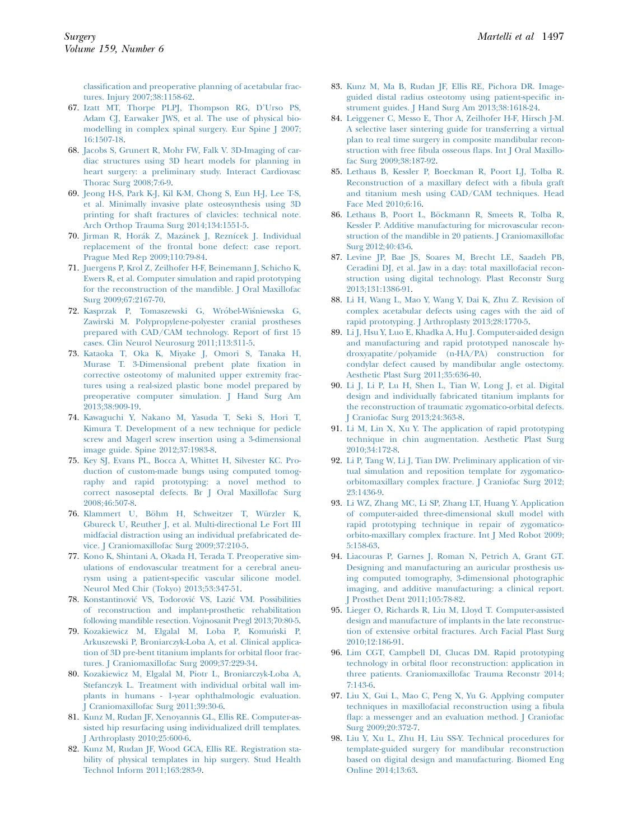<span id="page-12-0"></span>[classification and preoperative planning of acetabular frac](http://refhub.elsevier.com/S0039-6060(15)01055-7/sref66)[tures. Injury 2007;38:1158-62](http://refhub.elsevier.com/S0039-6060(15)01055-7/sref66).

- 67. [Izatt MT, Thorpe PLPJ, Thompson RG, D'Urso PS,](http://refhub.elsevier.com/S0039-6060(15)01055-7/sref67) [Adam CJ, Earwaker JWS, et al. The use of physical bio](http://refhub.elsevier.com/S0039-6060(15)01055-7/sref67)[modelling in complex spinal surgery. Eur Spine J 2007;](http://refhub.elsevier.com/S0039-6060(15)01055-7/sref67) [16:1507-18.](http://refhub.elsevier.com/S0039-6060(15)01055-7/sref67)
- 68. [Jacobs S, Grunert R, Mohr FW, Falk V. 3D-Imaging of car](http://refhub.elsevier.com/S0039-6060(15)01055-7/sref68)[diac structures using 3D heart models for planning in](http://refhub.elsevier.com/S0039-6060(15)01055-7/sref68) [heart surgery: a preliminary study. Interact Cardiovasc](http://refhub.elsevier.com/S0039-6060(15)01055-7/sref68) [Thorac Surg 2008;7:6-9](http://refhub.elsevier.com/S0039-6060(15)01055-7/sref68).
- 69. [Jeong H-S, Park K-J, Kil K-M, Chong S, Eun H-J, Lee T-S,](http://refhub.elsevier.com/S0039-6060(15)01055-7/sref69) [et al. Minimally invasive plate osteosynthesis using 3D](http://refhub.elsevier.com/S0039-6060(15)01055-7/sref69) [printing for shaft fractures of clavicles: technical note.](http://refhub.elsevier.com/S0039-6060(15)01055-7/sref69) [Arch Orthop Trauma Surg 2014;134:1551-5](http://refhub.elsevier.com/S0039-6060(15)01055-7/sref69).
- 70. [Jirman R, Hor](http://refhub.elsevier.com/S0039-6060(15)01055-7/sref70)á[k Z, Maz](http://refhub.elsevier.com/S0039-6060(15)01055-7/sref70)ánek J, Rezní[cek J. Individual](http://refhub.elsevier.com/S0039-6060(15)01055-7/sref70) [replacement of the frontal bone defect: case report.](http://refhub.elsevier.com/S0039-6060(15)01055-7/sref70) [Prague Med Rep 2009;110:79-84](http://refhub.elsevier.com/S0039-6060(15)01055-7/sref70).
- 71. [Juergens P, Krol Z, Zeilhofer H-F, Beinemann J, Schicho K,](http://refhub.elsevier.com/S0039-6060(15)01055-7/sref71) [Ewers R, et al. Computer simulation and rapid prototyping](http://refhub.elsevier.com/S0039-6060(15)01055-7/sref71) [for the reconstruction of the mandible. J Oral Maxillofac](http://refhub.elsevier.com/S0039-6060(15)01055-7/sref71) [Surg 2009;67:2167-70](http://refhub.elsevier.com/S0039-6060(15)01055-7/sref71).
- 72. [Kasprzak P, Tomaszewski G, Wr](http://refhub.elsevier.com/S0039-6060(15)01055-7/sref72)ó[bel-Wi](http://refhub.elsevier.com/S0039-6060(15)01055-7/sref72)ś[niewska G,](http://refhub.elsevier.com/S0039-6060(15)01055-7/sref72) [Zawirski M. Polypropylene-polyester cranial prostheses](http://refhub.elsevier.com/S0039-6060(15)01055-7/sref72) [prepared with CAD/CAM technology. Report of first 15](http://refhub.elsevier.com/S0039-6060(15)01055-7/sref72) [cases. Clin Neurol Neurosurg 2011;113:311-5.](http://refhub.elsevier.com/S0039-6060(15)01055-7/sref72)
- 73. [Kataoka T, Oka K, Miyake J, Omori S, Tanaka H,](http://refhub.elsevier.com/S0039-6060(15)01055-7/sref73) [Murase T. 3-Dimensional prebent plate fixation in](http://refhub.elsevier.com/S0039-6060(15)01055-7/sref73) [corrective osteotomy of malunited upper extremity frac](http://refhub.elsevier.com/S0039-6060(15)01055-7/sref73)[tures using a real-sized plastic bone model prepared by](http://refhub.elsevier.com/S0039-6060(15)01055-7/sref73) [preoperative computer simulation. J Hand Surg Am](http://refhub.elsevier.com/S0039-6060(15)01055-7/sref73) [2013;38:909-19](http://refhub.elsevier.com/S0039-6060(15)01055-7/sref73).
- 74. [Kawaguchi Y, Nakano M, Yasuda T, Seki S, Hori T,](http://refhub.elsevier.com/S0039-6060(15)01055-7/sref74) [Kimura T. Development of a new technique for pedicle](http://refhub.elsevier.com/S0039-6060(15)01055-7/sref74) [screw and Magerl screw insertion using a 3-dimensional](http://refhub.elsevier.com/S0039-6060(15)01055-7/sref74) [image guide. Spine 2012;37:1983-8.](http://refhub.elsevier.com/S0039-6060(15)01055-7/sref74)
- 75. [Key SJ, Evans PL, Bocca A, Whittet H, Silvester KC. Pro](http://refhub.elsevier.com/S0039-6060(15)01055-7/sref75)[duction of custom-made bungs using computed tomog](http://refhub.elsevier.com/S0039-6060(15)01055-7/sref75)[raphy and rapid prototyping: a novel method to](http://refhub.elsevier.com/S0039-6060(15)01055-7/sref75) [correct nasoseptal defects. Br J Oral Maxillofac Surg](http://refhub.elsevier.com/S0039-6060(15)01055-7/sref75) [2008;46:507-8](http://refhub.elsevier.com/S0039-6060(15)01055-7/sref75).
- 76. Klammert U, Böhm H, Schweitzer T, Würzler K, [Gbureck U, Reuther J, et al. Multi-directional Le Fort III](http://refhub.elsevier.com/S0039-6060(15)01055-7/sref76) [midfacial distraction using an individual prefabricated de](http://refhub.elsevier.com/S0039-6060(15)01055-7/sref76)[vice. J Craniomaxillofac Surg 2009;37:210-5.](http://refhub.elsevier.com/S0039-6060(15)01055-7/sref76)
- 77. [Kono K, Shintani A, Okada H, Terada T. Preoperative sim](http://refhub.elsevier.com/S0039-6060(15)01055-7/sref77)[ulations of endovascular treatment for a cerebral aneu](http://refhub.elsevier.com/S0039-6060(15)01055-7/sref77)[rysm using a patient-specific vascular silicone model.](http://refhub.elsevier.com/S0039-6060(15)01055-7/sref77) [Neurol Med Chir \(Tokyo\) 2013;53:347-51.](http://refhub.elsevier.com/S0039-6060(15)01055-7/sref77)
- 78. [Konstantinovi](http://refhub.elsevier.com/S0039-6060(15)01055-7/sref78)[c VS, Todorovi](http://refhub.elsevier.com/S0039-6060(15)01055-7/sref78)c [VS, Lazi](http://refhub.elsevier.com/S0039-6060(15)01055-7/sref78)[c VM. Possibilities](http://refhub.elsevier.com/S0039-6060(15)01055-7/sref78) [of reconstruction and implant-prosthetic rehabilitation](http://refhub.elsevier.com/S0039-6060(15)01055-7/sref78) [following mandible resection. Vojnosanit Pregl 2013;70:80-5](http://refhub.elsevier.com/S0039-6060(15)01055-7/sref78).
- 79. [Kozakiewicz M, Elgalal M, Loba P, Komunski P,](http://refhub.elsevier.com/S0039-6060(15)01055-7/sref79) [Arkuszewski P, Broniarczyk-Loba A, et al. Clinical applica](http://refhub.elsevier.com/S0039-6060(15)01055-7/sref79)[tion of 3D pre-bent titanium implants for orbital floor frac](http://refhub.elsevier.com/S0039-6060(15)01055-7/sref79)[tures. J Craniomaxillofac Surg 2009;37:229-34.](http://refhub.elsevier.com/S0039-6060(15)01055-7/sref79)
- 80. [Kozakiewicz M, Elgalal M, Piotr L, Broniarczyk-Loba A,](http://refhub.elsevier.com/S0039-6060(15)01055-7/sref80) [Stefanczyk L. Treatment with individual orbital wall im](http://refhub.elsevier.com/S0039-6060(15)01055-7/sref80)[plants in humans - 1-year ophthalmologic evaluation.](http://refhub.elsevier.com/S0039-6060(15)01055-7/sref80) [J Craniomaxillofac Surg 2011;39:30-6.](http://refhub.elsevier.com/S0039-6060(15)01055-7/sref80)
- 81. [Kunz M, Rudan JF, Xenoyannis GL, Ellis RE. Computer-as](http://refhub.elsevier.com/S0039-6060(15)01055-7/sref81)[sisted hip resurfacing using individualized drill templates.](http://refhub.elsevier.com/S0039-6060(15)01055-7/sref81) [J Arthroplasty 2010;25:600-6](http://refhub.elsevier.com/S0039-6060(15)01055-7/sref81).
- 82. [Kunz M, Rudan JF, Wood GCA, Ellis RE. Registration sta](http://refhub.elsevier.com/S0039-6060(15)01055-7/sref82)[bility of physical templates in hip surgery. Stud Health](http://refhub.elsevier.com/S0039-6060(15)01055-7/sref82) [Technol Inform 2011;163:283-9.](http://refhub.elsevier.com/S0039-6060(15)01055-7/sref82)
- 83. [Kunz M, Ma B, Rudan JF, Ellis RE, Pichora DR. Image](http://refhub.elsevier.com/S0039-6060(15)01055-7/sref83)[guided distal radius osteotomy using patient-specific in](http://refhub.elsevier.com/S0039-6060(15)01055-7/sref83)[strument guides. J Hand Surg Am 2013;38:1618-24](http://refhub.elsevier.com/S0039-6060(15)01055-7/sref83).
- 84. [Leiggener C, Messo E, Thor A, Zeilhofer H-F, Hirsch J-M.](http://refhub.elsevier.com/S0039-6060(15)01055-7/sref84) [A selective laser sintering guide for transferring a virtual](http://refhub.elsevier.com/S0039-6060(15)01055-7/sref84) [plan to real time surgery in composite mandibular recon](http://refhub.elsevier.com/S0039-6060(15)01055-7/sref84)[struction with free fibula osseous flaps. Int J Oral Maxillo](http://refhub.elsevier.com/S0039-6060(15)01055-7/sref84)[fac Surg 2009;38:187-92.](http://refhub.elsevier.com/S0039-6060(15)01055-7/sref84)
- 85. [Lethaus B, Kessler P, Boeckman R, Poort LJ, Tolba R.](http://refhub.elsevier.com/S0039-6060(15)01055-7/sref85) [Reconstruction of a maxillary defect with a fibula graft](http://refhub.elsevier.com/S0039-6060(15)01055-7/sref85) [and titanium mesh using CAD/CAM techniques. Head](http://refhub.elsevier.com/S0039-6060(15)01055-7/sref85) [Face Med 2010;6:16.](http://refhub.elsevier.com/S0039-6060(15)01055-7/sref85)
- 86. [Lethaus B, Poort L, B](http://refhub.elsevier.com/S0039-6060(15)01055-7/sref86)ö[ckmann R, Smeets R, Tolba R,](http://refhub.elsevier.com/S0039-6060(15)01055-7/sref86) [Kessler P. Additive manufacturing for microvascular recon](http://refhub.elsevier.com/S0039-6060(15)01055-7/sref86)[struction of the mandible in 20 patients. J Craniomaxillofac](http://refhub.elsevier.com/S0039-6060(15)01055-7/sref86) [Surg 2012;40:43-6.](http://refhub.elsevier.com/S0039-6060(15)01055-7/sref86)
- 87. [Levine JP, Bae JS, Soares M, Brecht LE, Saadeh PB,](http://refhub.elsevier.com/S0039-6060(15)01055-7/sref87) [Ceradini DJ, et al. Jaw in a day: total maxillofacial recon](http://refhub.elsevier.com/S0039-6060(15)01055-7/sref87)[struction using digital technology. Plast Reconstr Surg](http://refhub.elsevier.com/S0039-6060(15)01055-7/sref87) [2013;131:1386-91.](http://refhub.elsevier.com/S0039-6060(15)01055-7/sref87)
- 88. [Li H, Wang L, Mao Y, Wang Y, Dai K, Zhu Z. Revision of](http://refhub.elsevier.com/S0039-6060(15)01055-7/sref88) [complex acetabular defects using cages with the aid of](http://refhub.elsevier.com/S0039-6060(15)01055-7/sref88) [rapid prototyping. J Arthroplasty 2013;28:1770-5](http://refhub.elsevier.com/S0039-6060(15)01055-7/sref88).
- 89. [Li J, Hsu Y, Luo E, Khadka A, Hu J. Computer-aided design](http://refhub.elsevier.com/S0039-6060(15)01055-7/sref89) [and manufacturing and rapid prototyped nanoscale hy](http://refhub.elsevier.com/S0039-6060(15)01055-7/sref89)[droxyapatite/polyamide \(n-HA/PA\) construction for](http://refhub.elsevier.com/S0039-6060(15)01055-7/sref89) [condylar defect caused by mandibular angle ostectomy.](http://refhub.elsevier.com/S0039-6060(15)01055-7/sref89) [Aesthetic Plast Surg 2011;35:636-40.](http://refhub.elsevier.com/S0039-6060(15)01055-7/sref89)
- 90. [Li J, Li P, Lu H, Shen L, Tian W, Long J, et al. Digital](http://refhub.elsevier.com/S0039-6060(15)01055-7/sref90) [design and individually fabricated titanium implants for](http://refhub.elsevier.com/S0039-6060(15)01055-7/sref90) [the reconstruction of traumatic zygomatico-orbital defects.](http://refhub.elsevier.com/S0039-6060(15)01055-7/sref90) [J Craniofac Surg 2013;24:363-8.](http://refhub.elsevier.com/S0039-6060(15)01055-7/sref90)
- 91. [Li M, Lin X, Xu Y. The application of rapid prototyping](http://refhub.elsevier.com/S0039-6060(15)01055-7/sref91) [technique in chin augmentation. Aesthetic Plast Surg](http://refhub.elsevier.com/S0039-6060(15)01055-7/sref91) [2010;34:172-8](http://refhub.elsevier.com/S0039-6060(15)01055-7/sref91).
- 92. [Li P, Tang W, Li J, Tian DW. Preliminary application of vir](http://refhub.elsevier.com/S0039-6060(15)01055-7/sref92)[tual simulation and reposition template for zygomatico](http://refhub.elsevier.com/S0039-6060(15)01055-7/sref92)[orbitomaxillary complex fracture. J Craniofac Surg 2012;](http://refhub.elsevier.com/S0039-6060(15)01055-7/sref92) [23:1436-9.](http://refhub.elsevier.com/S0039-6060(15)01055-7/sref92)
- 93. [Li WZ, Zhang MC, Li SP, Zhang LT, Huang Y. Application](http://refhub.elsevier.com/S0039-6060(15)01055-7/sref93) [of computer-aided three-dimensional skull model with](http://refhub.elsevier.com/S0039-6060(15)01055-7/sref93) [rapid prototyping technique in repair of zygomatico](http://refhub.elsevier.com/S0039-6060(15)01055-7/sref93)[orbito-maxillary complex fracture. Int J Med Robot 2009;](http://refhub.elsevier.com/S0039-6060(15)01055-7/sref93) [5:158-63.](http://refhub.elsevier.com/S0039-6060(15)01055-7/sref93)
- 94. [Liacouras P, Garnes J, Roman N, Petrich A, Grant GT.](http://refhub.elsevier.com/S0039-6060(15)01055-7/sref94) [Designing and manufacturing an auricular prosthesis us](http://refhub.elsevier.com/S0039-6060(15)01055-7/sref94)[ing computed tomography, 3-dimensional photographic](http://refhub.elsevier.com/S0039-6060(15)01055-7/sref94) [imaging, and additive manufacturing: a clinical report.](http://refhub.elsevier.com/S0039-6060(15)01055-7/sref94) [J Prosthet Dent 2011;105:78-82](http://refhub.elsevier.com/S0039-6060(15)01055-7/sref94).
- 95. [Lieger O, Richards R, Liu M, Lloyd T. Computer-assisted](http://refhub.elsevier.com/S0039-6060(15)01055-7/sref95) [design and manufacture of implants in the late reconstruc](http://refhub.elsevier.com/S0039-6060(15)01055-7/sref95)[tion of extensive orbital fractures. Arch Facial Plast Surg](http://refhub.elsevier.com/S0039-6060(15)01055-7/sref95) [2010;12:186-91](http://refhub.elsevier.com/S0039-6060(15)01055-7/sref95).
- 96. [Lim CGT, Campbell DI, Clucas DM. Rapid prototyping](http://refhub.elsevier.com/S0039-6060(15)01055-7/sref96) [technology in orbital floor reconstruction: application in](http://refhub.elsevier.com/S0039-6060(15)01055-7/sref96) [three patients. Craniomaxillofac Trauma Reconstr 2014;](http://refhub.elsevier.com/S0039-6060(15)01055-7/sref96) [7:143-6.](http://refhub.elsevier.com/S0039-6060(15)01055-7/sref96)
- 97. [Liu X, Gui L, Mao C, Peng X, Yu G. Applying computer](http://refhub.elsevier.com/S0039-6060(15)01055-7/sref97) [techniques in maxillofacial reconstruction using a fibula](http://refhub.elsevier.com/S0039-6060(15)01055-7/sref97) [flap: a messenger and an evaluation method. J Craniofac](http://refhub.elsevier.com/S0039-6060(15)01055-7/sref97) [Surg 2009;20:372-7](http://refhub.elsevier.com/S0039-6060(15)01055-7/sref97).
- 98. [Liu Y, Xu L, Zhu H, Liu SS-Y. Technical procedures for](http://refhub.elsevier.com/S0039-6060(15)01055-7/sref98) [template-guided surgery for mandibular reconstruction](http://refhub.elsevier.com/S0039-6060(15)01055-7/sref98) [based on digital design and manufacturing. Biomed Eng](http://refhub.elsevier.com/S0039-6060(15)01055-7/sref98) [Online 2014;13:63](http://refhub.elsevier.com/S0039-6060(15)01055-7/sref98).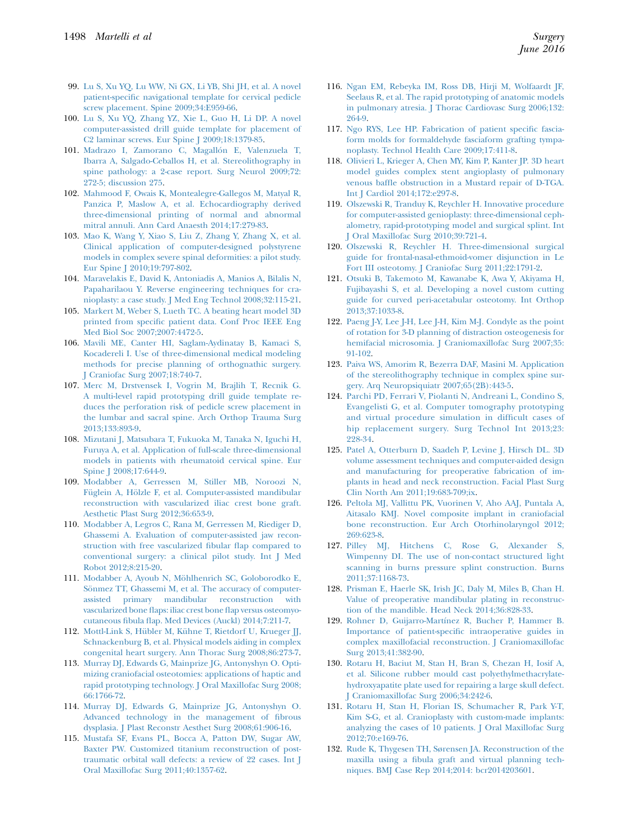- <span id="page-13-0"></span>99. [Lu S, Xu YQ, Lu WW, Ni GX, Li YB, Shi JH, et al. A novel](http://refhub.elsevier.com/S0039-6060(15)01055-7/sref99) [patient-specific navigational template for cervical pedicle](http://refhub.elsevier.com/S0039-6060(15)01055-7/sref99) [screw placement. Spine 2009;34:E959-66](http://refhub.elsevier.com/S0039-6060(15)01055-7/sref99).
- 100. [Lu S, Xu YQ, Zhang YZ, Xie L, Guo H, Li DP. A novel](http://refhub.elsevier.com/S0039-6060(15)01055-7/sref100) [computer-assisted drill guide template for placement of](http://refhub.elsevier.com/S0039-6060(15)01055-7/sref100) [C2 laminar screws. Eur Spine J 2009;18:1379-85.](http://refhub.elsevier.com/S0039-6060(15)01055-7/sref100)
- 101. Madrazo I, Zamorano C, Magallón E, Valenzuela T, [Ibarra A, Salgado-Ceballos H, et al. Stereolithography in](http://refhub.elsevier.com/S0039-6060(15)01055-7/sref101) [spine pathology: a 2-case report. Surg Neurol 2009;72:](http://refhub.elsevier.com/S0039-6060(15)01055-7/sref101) [272-5; discussion 275](http://refhub.elsevier.com/S0039-6060(15)01055-7/sref101).
- 102. [Mahmood F, Owais K, Montealegre-Gallegos M, Matyal R,](http://refhub.elsevier.com/S0039-6060(15)01055-7/sref102) [Panzica P, Maslow A, et al. Echocardiography derived](http://refhub.elsevier.com/S0039-6060(15)01055-7/sref102) [three-dimensional printing of normal and abnormal](http://refhub.elsevier.com/S0039-6060(15)01055-7/sref102) [mitral annuli. Ann Card Anaesth 2014;17:279-83.](http://refhub.elsevier.com/S0039-6060(15)01055-7/sref102)
- 103. [Mao K, Wang Y, Xiao S, Liu Z, Zhang Y, Zhang X, et al.](http://refhub.elsevier.com/S0039-6060(15)01055-7/sref103) [Clinical application of computer-designed polystyrene](http://refhub.elsevier.com/S0039-6060(15)01055-7/sref103) [models in complex severe spinal deformities: a pilot study.](http://refhub.elsevier.com/S0039-6060(15)01055-7/sref103) [Eur Spine J 2010;19:797-802.](http://refhub.elsevier.com/S0039-6060(15)01055-7/sref103)
- 104. [Maravelakis E, David K, Antoniadis A, Manios A, Bilalis N,](http://refhub.elsevier.com/S0039-6060(15)01055-7/sref104) [Papaharilaou Y. Reverse engineering techniques for cra](http://refhub.elsevier.com/S0039-6060(15)01055-7/sref104)[nioplasty: a case study. J Med Eng Technol 2008;32:115-21](http://refhub.elsevier.com/S0039-6060(15)01055-7/sref104).
- 105. [Markert M, Weber S, Lueth TC. A beating heart model 3D](http://refhub.elsevier.com/S0039-6060(15)01055-7/sref105) [printed from specific patient data. Conf Proc IEEE Eng](http://refhub.elsevier.com/S0039-6060(15)01055-7/sref105) [Med Biol Soc 2007;2007:4472-5](http://refhub.elsevier.com/S0039-6060(15)01055-7/sref105).
- 106. [Mavili ME, Canter HI, Saglam-Aydinatay B, Kamaci S,](http://refhub.elsevier.com/S0039-6060(15)01055-7/sref106) [Kocadereli I. Use of three-dimensional medical modeling](http://refhub.elsevier.com/S0039-6060(15)01055-7/sref106) [methods for precise planning of orthognathic surgery.](http://refhub.elsevier.com/S0039-6060(15)01055-7/sref106) [J Craniofac Surg 2007;18:740-7.](http://refhub.elsevier.com/S0039-6060(15)01055-7/sref106)
- 107. [Merc M, Drstvensek I, Vogrin M, Brajlih T, Recnik G.](http://refhub.elsevier.com/S0039-6060(15)01055-7/sref107) [A multi-level rapid prototyping drill guide template re](http://refhub.elsevier.com/S0039-6060(15)01055-7/sref107)[duces the perforation risk of pedicle screw placement in](http://refhub.elsevier.com/S0039-6060(15)01055-7/sref107) [the lumbar and sacral spine. Arch Orthop Trauma Surg](http://refhub.elsevier.com/S0039-6060(15)01055-7/sref107) [2013;133:893-9](http://refhub.elsevier.com/S0039-6060(15)01055-7/sref107).
- 108. [Mizutani J, Matsubara T, Fukuoka M, Tanaka N, Iguchi H,](http://refhub.elsevier.com/S0039-6060(15)01055-7/sref108) [Furuya A, et al. Application of full-scale three-dimensional](http://refhub.elsevier.com/S0039-6060(15)01055-7/sref108) [models in patients with rheumatoid cervical spine. Eur](http://refhub.elsevier.com/S0039-6060(15)01055-7/sref108) [Spine J 2008;17:644-9](http://refhub.elsevier.com/S0039-6060(15)01055-7/sref108).
- 109. [Modabber A, Gerressen M, Stiller MB, Noroozi N,](http://refhub.elsevier.com/S0039-6060(15)01055-7/sref109) [F](http://refhub.elsevier.com/S0039-6060(15)01055-7/sref109)ü[glein A, H](http://refhub.elsevier.com/S0039-6060(15)01055-7/sref109)ö[lzle F, et al. Computer-assisted mandibular](http://refhub.elsevier.com/S0039-6060(15)01055-7/sref109) [reconstruction with vascularized iliac crest bone graft.](http://refhub.elsevier.com/S0039-6060(15)01055-7/sref109) [Aesthetic Plast Surg 2012;36:653-9](http://refhub.elsevier.com/S0039-6060(15)01055-7/sref109).
- 110. [Modabber A, Legros C, Rana M, Gerressen M, Riediger D,](http://refhub.elsevier.com/S0039-6060(15)01055-7/sref110) [Ghassemi A. Evaluation of computer-assisted jaw recon](http://refhub.elsevier.com/S0039-6060(15)01055-7/sref110)[struction with free vascularized fibular flap compared to](http://refhub.elsevier.com/S0039-6060(15)01055-7/sref110) [conventional surgery: a clinical pilot study. Int J Med](http://refhub.elsevier.com/S0039-6060(15)01055-7/sref110) [Robot 2012;8:215-20](http://refhub.elsevier.com/S0039-6060(15)01055-7/sref110).
- 111. Modabber A, Ayoub N, Möhlhenrich SC, Goloborodko E, Sönmez TT, Ghassemi M, et al. The accuracy of computer[assisted primary mandibular reconstruction with](http://refhub.elsevier.com/S0039-6060(15)01055-7/sref111) [vascularized bone flaps: iliac crest bone flap versus osteomyo](http://refhub.elsevier.com/S0039-6060(15)01055-7/sref111)[cutaneous fibula flap. Med Devices \(Auckl\) 2014;7:211-7.](http://refhub.elsevier.com/S0039-6060(15)01055-7/sref111)
- 112. Mottl-Link S, Hübler M, Kü[hne T, Rietdorf U, Krueger JJ,](http://refhub.elsevier.com/S0039-6060(15)01055-7/sref112) [Schnackenburg B, et al. Physical models aiding in complex](http://refhub.elsevier.com/S0039-6060(15)01055-7/sref112) [congenital heart surgery. Ann Thorac Surg 2008;86:273-7](http://refhub.elsevier.com/S0039-6060(15)01055-7/sref112).
- 113. [Murray DJ, Edwards G, Mainprize JG, Antonyshyn O. Opti](http://refhub.elsevier.com/S0039-6060(15)01055-7/sref113)[mizing craniofacial osteotomies: applications of haptic and](http://refhub.elsevier.com/S0039-6060(15)01055-7/sref113) [rapid prototyping technology. J Oral Maxillofac Surg 2008;](http://refhub.elsevier.com/S0039-6060(15)01055-7/sref113) [66:1766-72.](http://refhub.elsevier.com/S0039-6060(15)01055-7/sref113)
- 114. [Murray DJ, Edwards G, Mainprize JG, Antonyshyn O.](http://refhub.elsevier.com/S0039-6060(15)01055-7/sref114) [Advanced technology in the management of fibrous](http://refhub.elsevier.com/S0039-6060(15)01055-7/sref114) [dysplasia. J Plast Reconstr Aesthet Surg 2008;61:906-16.](http://refhub.elsevier.com/S0039-6060(15)01055-7/sref114)
- 115. [Mustafa SF, Evans PL, Bocca A, Patton DW, Sugar AW,](http://refhub.elsevier.com/S0039-6060(15)01055-7/sref115) [Baxter PW. Customized titanium reconstruction of post](http://refhub.elsevier.com/S0039-6060(15)01055-7/sref115)[traumatic orbital wall defects: a review of 22 cases. Int J](http://refhub.elsevier.com/S0039-6060(15)01055-7/sref115) [Oral Maxillofac Surg 2011;40:1357-62](http://refhub.elsevier.com/S0039-6060(15)01055-7/sref115).
- 116. [Ngan EM, Rebeyka IM, Ross DB, Hirji M, Wolfaardt JF,](http://refhub.elsevier.com/S0039-6060(15)01055-7/sref116) [Seelaus R, et al. The rapid prototyping of anatomic models](http://refhub.elsevier.com/S0039-6060(15)01055-7/sref116) [in pulmonary atresia. J Thorac Cardiovasc Surg 2006;132:](http://refhub.elsevier.com/S0039-6060(15)01055-7/sref116) [264-9](http://refhub.elsevier.com/S0039-6060(15)01055-7/sref116).
- 117. [Ngo RYS, Lee HP. Fabrication of patient specific fascia](http://refhub.elsevier.com/S0039-6060(15)01055-7/sref117)[form molds for formaldehyde fasciaform grafting tympa](http://refhub.elsevier.com/S0039-6060(15)01055-7/sref117)[noplasty. Technol Health Care 2009;17:411-8.](http://refhub.elsevier.com/S0039-6060(15)01055-7/sref117)
- 118. [Olivieri L, Krieger A, Chen MY, Kim P, Kanter JP. 3D heart](http://refhub.elsevier.com/S0039-6060(15)01055-7/sref118) [model guides complex stent angioplasty of pulmonary](http://refhub.elsevier.com/S0039-6060(15)01055-7/sref118) [venous baffle obstruction in a Mustard repair of D-TGA.](http://refhub.elsevier.com/S0039-6060(15)01055-7/sref118) [Int J Cardiol 2014;172:e297-8](http://refhub.elsevier.com/S0039-6060(15)01055-7/sref118).
- 119. [Olszewski R, Tranduy K, Reychler H. Innovative procedure](http://refhub.elsevier.com/S0039-6060(15)01055-7/sref119) [for computer-assisted genioplasty: three-dimensional ceph](http://refhub.elsevier.com/S0039-6060(15)01055-7/sref119)[alometry, rapid-prototyping model and surgical splint. Int](http://refhub.elsevier.com/S0039-6060(15)01055-7/sref119) [J Oral Maxillofac Surg 2010;39:721-4.](http://refhub.elsevier.com/S0039-6060(15)01055-7/sref119)
- 120. [Olszewski R, Reychler H. Three-dimensional surgical](http://refhub.elsevier.com/S0039-6060(15)01055-7/sref120) [guide for frontal-nasal-ethmoid-vomer disjunction in Le](http://refhub.elsevier.com/S0039-6060(15)01055-7/sref120) [Fort III osteotomy. J Craniofac Surg 2011;22:1791-2](http://refhub.elsevier.com/S0039-6060(15)01055-7/sref120).
- 121. [Otsuki B, Takemoto M, Kawanabe K, Awa Y, Akiyama H,](http://refhub.elsevier.com/S0039-6060(15)01055-7/sref121) [Fujibayashi S, et al. Developing a novel custom cutting](http://refhub.elsevier.com/S0039-6060(15)01055-7/sref121) [guide for curved peri-acetabular osteotomy. Int Orthop](http://refhub.elsevier.com/S0039-6060(15)01055-7/sref121) [2013;37:1033-8.](http://refhub.elsevier.com/S0039-6060(15)01055-7/sref121)
- 122. [Paeng J-Y, Lee J-H, Lee J-H, Kim M-J. Condyle as the point](http://refhub.elsevier.com/S0039-6060(15)01055-7/sref122) [of rotation for 3-D planning of distraction osteogenesis for](http://refhub.elsevier.com/S0039-6060(15)01055-7/sref122) [hemifacial microsomia. J Craniomaxillofac Surg 2007;35:](http://refhub.elsevier.com/S0039-6060(15)01055-7/sref122) [91-102.](http://refhub.elsevier.com/S0039-6060(15)01055-7/sref122)
- 123. [Paiva WS, Amorim R, Bezerra DAF, Masini M. Application](http://refhub.elsevier.com/S0039-6060(15)01055-7/sref123) [of the stereolithography technique in complex spine sur](http://refhub.elsevier.com/S0039-6060(15)01055-7/sref123)[gery. Arq Neuropsiquiatr 2007;65\(2B\):443-5](http://refhub.elsevier.com/S0039-6060(15)01055-7/sref123).
- 124. [Parchi PD, Ferrari V, Piolanti N, Andreani L, Condino S,](http://refhub.elsevier.com/S0039-6060(15)01055-7/sref124) [Evangelisti G, et al. Computer tomography prototyping](http://refhub.elsevier.com/S0039-6060(15)01055-7/sref124) [and virtual procedure simulation in difficult cases of](http://refhub.elsevier.com/S0039-6060(15)01055-7/sref124) [hip replacement surgery. Surg Technol Int 2013;23:](http://refhub.elsevier.com/S0039-6060(15)01055-7/sref124) [228-34](http://refhub.elsevier.com/S0039-6060(15)01055-7/sref124).
- 125. [Patel A, Otterburn D, Saadeh P, Levine J, Hirsch DL. 3D](http://refhub.elsevier.com/S0039-6060(15)01055-7/sref125) [volume assessment techniques and computer-aided design](http://refhub.elsevier.com/S0039-6060(15)01055-7/sref125) [and manufacturing for preoperative fabrication of im](http://refhub.elsevier.com/S0039-6060(15)01055-7/sref125)[plants in head and neck reconstruction. Facial Plast Surg](http://refhub.elsevier.com/S0039-6060(15)01055-7/sref125) [Clin North Am 2011;19:683-709;ix.](http://refhub.elsevier.com/S0039-6060(15)01055-7/sref125)
- 126. [Peltola MJ, Vallittu PK, Vuorinen V, Aho AAJ, Puntala A,](http://refhub.elsevier.com/S0039-6060(15)01055-7/sref126) [Aitasalo KMJ. Novel composite implant in craniofacial](http://refhub.elsevier.com/S0039-6060(15)01055-7/sref126) [bone reconstruction. Eur Arch Otorhinolaryngol 2012;](http://refhub.elsevier.com/S0039-6060(15)01055-7/sref126) [269:623-8.](http://refhub.elsevier.com/S0039-6060(15)01055-7/sref126)
- 127. [Pilley MJ, Hitchens C, Rose G, Alexander S,](http://refhub.elsevier.com/S0039-6060(15)01055-7/sref127) [Wimpenny DI. The use of non-contact structured light](http://refhub.elsevier.com/S0039-6060(15)01055-7/sref127) [scanning in burns pressure splint construction. Burns](http://refhub.elsevier.com/S0039-6060(15)01055-7/sref127) [2011;37:1168-73](http://refhub.elsevier.com/S0039-6060(15)01055-7/sref127).
- 128. [Prisman E, Haerle SK, Irish JC, Daly M, Miles B, Chan H.](http://refhub.elsevier.com/S0039-6060(15)01055-7/sref128) [Value of preoperative mandibular plating in reconstruc](http://refhub.elsevier.com/S0039-6060(15)01055-7/sref128)[tion of the mandible. Head Neck 2014;36:828-33.](http://refhub.elsevier.com/S0039-6060(15)01055-7/sref128)
- 129. [Rohner D, Guijarro-Mart](http://refhub.elsevier.com/S0039-6060(15)01055-7/sref129)í[nez R, Bucher P, Hammer B.](http://refhub.elsevier.com/S0039-6060(15)01055-7/sref129) [Importance of patient-specific intraoperative guides in](http://refhub.elsevier.com/S0039-6060(15)01055-7/sref129) [complex maxillofacial reconstruction. J Craniomaxillofac](http://refhub.elsevier.com/S0039-6060(15)01055-7/sref129) [Surg 2013;41:382-90](http://refhub.elsevier.com/S0039-6060(15)01055-7/sref129).
- 130. [Rotaru H, Baciut M, Stan H, Bran S, Chezan H, Iosif A,](http://refhub.elsevier.com/S0039-6060(15)01055-7/sref130) [et al. Silicone rubber mould cast polyethylmethacrylate](http://refhub.elsevier.com/S0039-6060(15)01055-7/sref130)[hydroxyapatite plate used for repairing a large skull defect.](http://refhub.elsevier.com/S0039-6060(15)01055-7/sref130) [J Craniomaxillofac Surg 2006;34:242-6.](http://refhub.elsevier.com/S0039-6060(15)01055-7/sref130)
- 131. [Rotaru H, Stan H, Florian IS, Schumacher R, Park Y-T,](http://refhub.elsevier.com/S0039-6060(15)01055-7/sref131) [Kim S-G, et al. Cranioplasty with custom-made implants:](http://refhub.elsevier.com/S0039-6060(15)01055-7/sref131) [analyzing the cases of 10 patients. J Oral Maxillofac Surg](http://refhub.elsevier.com/S0039-6060(15)01055-7/sref131) [2012;70:e169-76](http://refhub.elsevier.com/S0039-6060(15)01055-7/sref131).
- 132. [Rude K, Thygesen TH, Sørensen JA. Reconstruction of the](http://refhub.elsevier.com/S0039-6060(15)01055-7/sref132) [maxilla using a fibula graft and virtual planning tech](http://refhub.elsevier.com/S0039-6060(15)01055-7/sref132)[niques. BMJ Case Rep 2014;2014: bcr2014203601.](http://refhub.elsevier.com/S0039-6060(15)01055-7/sref132)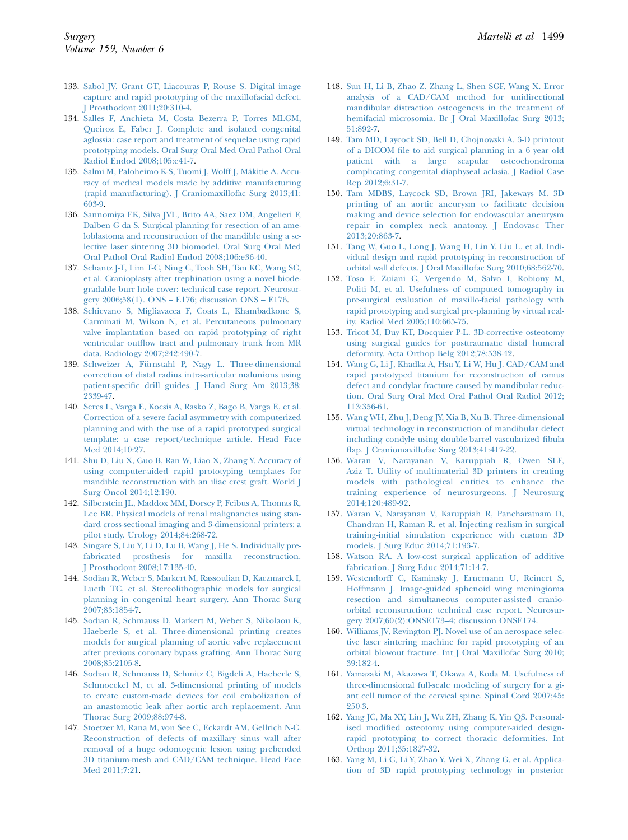- <span id="page-14-0"></span>133. [Sabol JV, Grant GT, Liacouras P, Rouse S. Digital image](http://refhub.elsevier.com/S0039-6060(15)01055-7/sref133) [capture and rapid prototyping of the maxillofacial defect.](http://refhub.elsevier.com/S0039-6060(15)01055-7/sref133) [J Prosthodont 2011;20:310-4.](http://refhub.elsevier.com/S0039-6060(15)01055-7/sref133)
- 134. [Salles F, Anchieta M, Costa Bezerra P, Torres MLGM,](http://refhub.elsevier.com/S0039-6060(15)01055-7/sref134) [Queiroz E, Faber J. Complete and isolated congenital](http://refhub.elsevier.com/S0039-6060(15)01055-7/sref134) [aglossia: case report and treatment of sequelae using rapid](http://refhub.elsevier.com/S0039-6060(15)01055-7/sref134) [prototyping models. Oral Surg Oral Med Oral Pathol Oral](http://refhub.elsevier.com/S0039-6060(15)01055-7/sref134) [Radiol Endod 2008;105:e41-7.](http://refhub.elsevier.com/S0039-6060(15)01055-7/sref134)
- 135. [Salmi M, Paloheimo K-S, Tuomi J, Wolff J, M](http://refhub.elsevier.com/S0039-6060(15)01055-7/sref135)äkitie A. Accu[racy of medical models made by additive manufacturing](http://refhub.elsevier.com/S0039-6060(15)01055-7/sref135) [\(rapid manufacturing\). J Craniomaxillofac Surg 2013;41:](http://refhub.elsevier.com/S0039-6060(15)01055-7/sref135) [603-9](http://refhub.elsevier.com/S0039-6060(15)01055-7/sref135).
- 136. [Sannomiya EK, Silva JVL, Brito AA, Saez DM, Angelieri F,](http://refhub.elsevier.com/S0039-6060(15)01055-7/sref136) [Dalben G da S. Surgical planning for resection of an ame](http://refhub.elsevier.com/S0039-6060(15)01055-7/sref136)[loblastoma and reconstruction of the mandible using a se](http://refhub.elsevier.com/S0039-6060(15)01055-7/sref136)[lective laser sintering 3D biomodel. Oral Surg Oral Med](http://refhub.elsevier.com/S0039-6060(15)01055-7/sref136) [Oral Pathol Oral Radiol Endod 2008;106:e36-40.](http://refhub.elsevier.com/S0039-6060(15)01055-7/sref136)
- 137. [Schantz J-T, Lim T-C, Ning C, Teoh SH, Tan KC, Wang SC,](http://refhub.elsevier.com/S0039-6060(15)01055-7/sref137) [et al. Cranioplasty after trephination using a novel biode](http://refhub.elsevier.com/S0039-6060(15)01055-7/sref137)[gradable burr hole cover: technical case report. Neurosur](http://refhub.elsevier.com/S0039-6060(15)01055-7/sref137)[gery 2006;58\(1\). ONS – E176; discussion ONS – E176](http://refhub.elsevier.com/S0039-6060(15)01055-7/sref137).
- 138. [Schievano S, Migliavacca F, Coats L, Khambadkone S,](http://refhub.elsevier.com/S0039-6060(15)01055-7/sref138) [Carminati M, Wilson N, et al. Percutaneous pulmonary](http://refhub.elsevier.com/S0039-6060(15)01055-7/sref138) [valve implantation based on rapid prototyping of right](http://refhub.elsevier.com/S0039-6060(15)01055-7/sref138) [ventricular outflow tract and pulmonary trunk from MR](http://refhub.elsevier.com/S0039-6060(15)01055-7/sref138) [data. Radiology 2007;242:490-7](http://refhub.elsevier.com/S0039-6060(15)01055-7/sref138).
- 139. [Schweizer A, F](http://refhub.elsevier.com/S0039-6060(15)01055-7/sref139)ü[rnstahl P, Nagy L. Three-dimensional](http://refhub.elsevier.com/S0039-6060(15)01055-7/sref139) [correction of distal radius intra-articular malunions using](http://refhub.elsevier.com/S0039-6060(15)01055-7/sref139) [patient-specific drill guides. J Hand Surg Am 2013;38:](http://refhub.elsevier.com/S0039-6060(15)01055-7/sref139) [2339-47.](http://refhub.elsevier.com/S0039-6060(15)01055-7/sref139)
- 140. [Seres L, Varga E, Kocsis A, Rasko Z, Bago B, Varga E, et al.](http://refhub.elsevier.com/S0039-6060(15)01055-7/sref140) [Correction of a severe facial asymmetry with computerized](http://refhub.elsevier.com/S0039-6060(15)01055-7/sref140) [planning and with the use of a rapid prototyped surgical](http://refhub.elsevier.com/S0039-6060(15)01055-7/sref140) [template: a case report/technique article. Head Face](http://refhub.elsevier.com/S0039-6060(15)01055-7/sref140) [Med 2014;10:27](http://refhub.elsevier.com/S0039-6060(15)01055-7/sref140).
- 141. [Shu D, Liu X, Guo B, Ran W, Liao X, Zhang Y. Accuracy of](http://refhub.elsevier.com/S0039-6060(15)01055-7/sref141) [using computer-aided rapid prototyping templates for](http://refhub.elsevier.com/S0039-6060(15)01055-7/sref141) [mandible reconstruction with an iliac crest graft. World J](http://refhub.elsevier.com/S0039-6060(15)01055-7/sref141) [Surg Oncol 2014;12:190](http://refhub.elsevier.com/S0039-6060(15)01055-7/sref141).
- 142. [Silberstein JL, Maddox MM, Dorsey P, Feibus A, Thomas R,](http://refhub.elsevier.com/S0039-6060(15)01055-7/sref142) [Lee BR. Physical models of renal malignancies using stan](http://refhub.elsevier.com/S0039-6060(15)01055-7/sref142)[dard cross-sectional imaging and 3-dimensional printers: a](http://refhub.elsevier.com/S0039-6060(15)01055-7/sref142) [pilot study. Urology 2014;84:268-72](http://refhub.elsevier.com/S0039-6060(15)01055-7/sref142).
- 143. [Singare S, Liu Y, Li D, Lu B, Wang J, He S. Individually pre](http://refhub.elsevier.com/S0039-6060(15)01055-7/sref143)[fabricated prosthesis for maxilla reconstruction.](http://refhub.elsevier.com/S0039-6060(15)01055-7/sref143) [J Prosthodont 2008;17:135-40.](http://refhub.elsevier.com/S0039-6060(15)01055-7/sref143)
- 144. [Sodian R, Weber S, Markert M, Rassoulian D, Kaczmarek I,](http://refhub.elsevier.com/S0039-6060(15)01055-7/sref144) [Lueth TC, et al. Stereolithographic models for surgical](http://refhub.elsevier.com/S0039-6060(15)01055-7/sref144) [planning in congenital heart surgery. Ann Thorac Surg](http://refhub.elsevier.com/S0039-6060(15)01055-7/sref144) [2007;83:1854-7](http://refhub.elsevier.com/S0039-6060(15)01055-7/sref144).
- 145. [Sodian R, Schmauss D, Markert M, Weber S, Nikolaou K,](http://refhub.elsevier.com/S0039-6060(15)01055-7/sref145) [Haeberle S, et al. Three-dimensional printing creates](http://refhub.elsevier.com/S0039-6060(15)01055-7/sref145) [models for surgical planning of aortic valve replacement](http://refhub.elsevier.com/S0039-6060(15)01055-7/sref145) [after previous coronary bypass grafting. Ann Thorac Surg](http://refhub.elsevier.com/S0039-6060(15)01055-7/sref145) [2008;85:2105-8](http://refhub.elsevier.com/S0039-6060(15)01055-7/sref145).
- 146. [Sodian R, Schmauss D, Schmitz C, Bigdeli A, Haeberle S,](http://refhub.elsevier.com/S0039-6060(15)01055-7/sref146) [Schmoeckel M, et al. 3-dimensional printing of models](http://refhub.elsevier.com/S0039-6060(15)01055-7/sref146) [to create custom-made devices for coil embolization of](http://refhub.elsevier.com/S0039-6060(15)01055-7/sref146) [an anastomotic leak after aortic arch replacement. Ann](http://refhub.elsevier.com/S0039-6060(15)01055-7/sref146) [Thorac Surg 2009;88:974-8.](http://refhub.elsevier.com/S0039-6060(15)01055-7/sref146)
- 147. [Stoetzer M, Rana M, von See C, Eckardt AM, Gellrich N-C.](http://refhub.elsevier.com/S0039-6060(15)01055-7/sref147) [Reconstruction of defects of maxillary sinus wall after](http://refhub.elsevier.com/S0039-6060(15)01055-7/sref147) [removal of a huge odontogenic lesion using prebended](http://refhub.elsevier.com/S0039-6060(15)01055-7/sref147) [3D titanium-mesh and CAD/CAM technique. Head Face](http://refhub.elsevier.com/S0039-6060(15)01055-7/sref147) [Med 2011;7:21](http://refhub.elsevier.com/S0039-6060(15)01055-7/sref147).
- 148. [Sun H, Li B, Zhao Z, Zhang L, Shen SGF, Wang X. Error](http://refhub.elsevier.com/S0039-6060(15)01055-7/sref148) [analysis of a CAD/CAM method for unidirectional](http://refhub.elsevier.com/S0039-6060(15)01055-7/sref148) [mandibular distraction osteogenesis in the treatment of](http://refhub.elsevier.com/S0039-6060(15)01055-7/sref148) [hemifacial microsomia. Br J Oral Maxillofac Surg 2013;](http://refhub.elsevier.com/S0039-6060(15)01055-7/sref148) [51:892-7.](http://refhub.elsevier.com/S0039-6060(15)01055-7/sref148)
- 149. [Tam MD, Laycock SD, Bell D, Chojnowski A. 3-D printout](http://refhub.elsevier.com/S0039-6060(15)01055-7/sref149) [of a DICOM file to aid surgical planning in a 6 year old](http://refhub.elsevier.com/S0039-6060(15)01055-7/sref149) [patient with a large scapular osteochondroma](http://refhub.elsevier.com/S0039-6060(15)01055-7/sref149) [complicating congenital diaphyseal aclasia. J Radiol Case](http://refhub.elsevier.com/S0039-6060(15)01055-7/sref149) [Rep 2012;6:31-7.](http://refhub.elsevier.com/S0039-6060(15)01055-7/sref149)
- 150. [Tam MDBS, Laycock SD, Brown JRI, Jakeways M. 3D](http://refhub.elsevier.com/S0039-6060(15)01055-7/sref150) [printing of an aortic aneurysm to facilitate decision](http://refhub.elsevier.com/S0039-6060(15)01055-7/sref150) [making and device selection for endovascular aneurysm](http://refhub.elsevier.com/S0039-6060(15)01055-7/sref150) [repair in complex neck anatomy. J Endovasc Ther](http://refhub.elsevier.com/S0039-6060(15)01055-7/sref150) [2013;20:863-7.](http://refhub.elsevier.com/S0039-6060(15)01055-7/sref150)
- 151. [Tang W, Guo L, Long J, Wang H, Lin Y, Liu L, et al. Indi](http://refhub.elsevier.com/S0039-6060(15)01055-7/sref151)[vidual design and rapid prototyping in reconstruction of](http://refhub.elsevier.com/S0039-6060(15)01055-7/sref151) [orbital wall defects. J Oral Maxillofac Surg 2010;68:562-70.](http://refhub.elsevier.com/S0039-6060(15)01055-7/sref151)
- 152. [Toso F, Zuiani C, Vergendo M, Salvo I, Robiony M,](http://refhub.elsevier.com/S0039-6060(15)01055-7/sref152) [Politi M, et al. Usefulness of computed tomography in](http://refhub.elsevier.com/S0039-6060(15)01055-7/sref152) [pre-surgical evaluation of maxillo-facial pathology with](http://refhub.elsevier.com/S0039-6060(15)01055-7/sref152) [rapid prototyping and surgical pre-planning by virtual real](http://refhub.elsevier.com/S0039-6060(15)01055-7/sref152)[ity. Radiol Med 2005;110:665-75](http://refhub.elsevier.com/S0039-6060(15)01055-7/sref152).
- 153. [Tricot M, Duy KT, Docquier P-L. 3D-corrective osteotomy](http://refhub.elsevier.com/S0039-6060(15)01055-7/sref153) [using surgical guides for posttraumatic distal humeral](http://refhub.elsevier.com/S0039-6060(15)01055-7/sref153) [deformity. Acta Orthop Belg 2012;78:538-42](http://refhub.elsevier.com/S0039-6060(15)01055-7/sref153).
- 154. [Wang G, Li J, Khadka A, Hsu Y, Li W, Hu J. CAD/CAM and](http://refhub.elsevier.com/S0039-6060(15)01055-7/sref154) [rapid prototyped titanium for reconstruction of ramus](http://refhub.elsevier.com/S0039-6060(15)01055-7/sref154) [defect and condylar fracture caused by mandibular reduc](http://refhub.elsevier.com/S0039-6060(15)01055-7/sref154)[tion. Oral Surg Oral Med Oral Pathol Oral Radiol 2012;](http://refhub.elsevier.com/S0039-6060(15)01055-7/sref154) [113:356-61](http://refhub.elsevier.com/S0039-6060(15)01055-7/sref154).
- 155. [Wang WH, Zhu J, Deng JY, Xia B, Xu B. Three-dimensional](http://refhub.elsevier.com/S0039-6060(15)01055-7/sref155) [virtual technology in reconstruction of mandibular defect](http://refhub.elsevier.com/S0039-6060(15)01055-7/sref155) [including condyle using double-barrel vascularized fibula](http://refhub.elsevier.com/S0039-6060(15)01055-7/sref155) [flap. J Craniomaxillofac Surg 2013;41:417-22](http://refhub.elsevier.com/S0039-6060(15)01055-7/sref155).
- 156. [Waran V, Narayanan V, Karuppiah R, Owen SLF,](http://refhub.elsevier.com/S0039-6060(15)01055-7/sref156) [Aziz T. Utility of multimaterial 3D printers in creating](http://refhub.elsevier.com/S0039-6060(15)01055-7/sref156) [models with pathological entities to enhance the](http://refhub.elsevier.com/S0039-6060(15)01055-7/sref156) [training experience of neurosurgeons. J Neurosurg](http://refhub.elsevier.com/S0039-6060(15)01055-7/sref156) [2014;120:489-92](http://refhub.elsevier.com/S0039-6060(15)01055-7/sref156).
- 157. [Waran V, Narayanan V, Karuppiah R, Pancharatnam D,](http://refhub.elsevier.com/S0039-6060(15)01055-7/sref157) [Chandran H, Raman R, et al. Injecting realism in surgical](http://refhub.elsevier.com/S0039-6060(15)01055-7/sref157) [training-initial simulation experience with custom 3D](http://refhub.elsevier.com/S0039-6060(15)01055-7/sref157) [models. J Surg Educ 2014;71:193-7.](http://refhub.elsevier.com/S0039-6060(15)01055-7/sref157)
- 158. [Watson RA. A low-cost surgical application of additive](http://refhub.elsevier.com/S0039-6060(15)01055-7/sref158) [fabrication. J Surg Educ 2014;71:14-7](http://refhub.elsevier.com/S0039-6060(15)01055-7/sref158).
- 159. [Westendorff C, Kaminsky J, Ernemann U, Reinert S,](http://refhub.elsevier.com/S0039-6060(15)01055-7/sref159) [Hoffmann J. Image-guided sphenoid wing meningioma](http://refhub.elsevier.com/S0039-6060(15)01055-7/sref159) [resection and simultaneous computer-assisted cranio](http://refhub.elsevier.com/S0039-6060(15)01055-7/sref159)[orbital reconstruction: technical case report. Neurosur](http://refhub.elsevier.com/S0039-6060(15)01055-7/sref159)[gery 2007;60\(2\):ONSE173–4; discussion ONSE174](http://refhub.elsevier.com/S0039-6060(15)01055-7/sref159).
- 160. [Williams JV, Revington PJ. Novel use of an aerospace selec](http://refhub.elsevier.com/S0039-6060(15)01055-7/sref160)[tive laser sintering machine for rapid prototyping of an](http://refhub.elsevier.com/S0039-6060(15)01055-7/sref160) [orbital blowout fracture. Int J Oral Maxillofac Surg 2010;](http://refhub.elsevier.com/S0039-6060(15)01055-7/sref160) [39:182-4.](http://refhub.elsevier.com/S0039-6060(15)01055-7/sref160)
- 161. [Yamazaki M, Akazawa T, Okawa A, Koda M. Usefulness of](http://refhub.elsevier.com/S0039-6060(15)01055-7/sref161) [three-dimensional full-scale modeling of surgery for a gi](http://refhub.elsevier.com/S0039-6060(15)01055-7/sref161)[ant cell tumor of the cervical spine. Spinal Cord 2007;45:](http://refhub.elsevier.com/S0039-6060(15)01055-7/sref161) [250-3](http://refhub.elsevier.com/S0039-6060(15)01055-7/sref161).
- 162. [Yang JC, Ma XY, Lin J, Wu ZH, Zhang K, Yin QS. Personal](http://refhub.elsevier.com/S0039-6060(15)01055-7/sref162)[ised modified osteotomy using computer-aided design](http://refhub.elsevier.com/S0039-6060(15)01055-7/sref162)[rapid prototyping to correct thoracic deformities. Int](http://refhub.elsevier.com/S0039-6060(15)01055-7/sref162) [Orthop 2011;35:1827-32](http://refhub.elsevier.com/S0039-6060(15)01055-7/sref162).
- 163. [Yang M, Li C, Li Y, Zhao Y, Wei X, Zhang G, et al. Applica](http://refhub.elsevier.com/S0039-6060(15)01055-7/sref163)[tion of 3D rapid prototyping technology in posterior](http://refhub.elsevier.com/S0039-6060(15)01055-7/sref163)